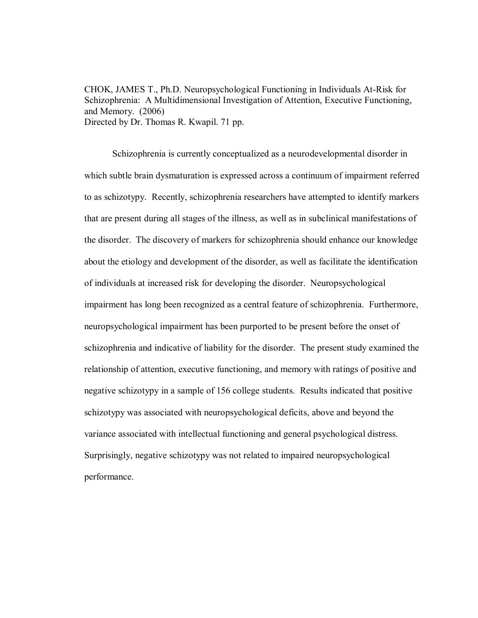CHOK, JAMES T., Ph.D. Neuropsychological Functioning in Individuals At-Risk for Schizophrenia: A Multidimensional Investigation of Attention, Executive Functioning, and Memory. (2006) Directed by Dr. Thomas R. Kwapil. 71 pp.

 Schizophrenia is currently conceptualized as a neurodevelopmental disorder in which subtle brain dysmaturation is expressed across a continuum of impairment referred to as schizotypy. Recently, schizophrenia researchers have attempted to identify markers that are present during all stages of the illness, as well as in subclinical manifestations of the disorder. The discovery of markers for schizophrenia should enhance our knowledge about the etiology and development of the disorder, as well as facilitate the identification of individuals at increased risk for developing the disorder. Neuropsychological impairment has long been recognized as a central feature of schizophrenia. Furthermore, neuropsychological impairment has been purported to be present before the onset of schizophrenia and indicative of liability for the disorder. The present study examined the relationship of attention, executive functioning, and memory with ratings of positive and negative schizotypy in a sample of 156 college students. Results indicated that positive schizotypy was associated with neuropsychological deficits, above and beyond the variance associated with intellectual functioning and general psychological distress. Surprisingly, negative schizotypy was not related to impaired neuropsychological performance.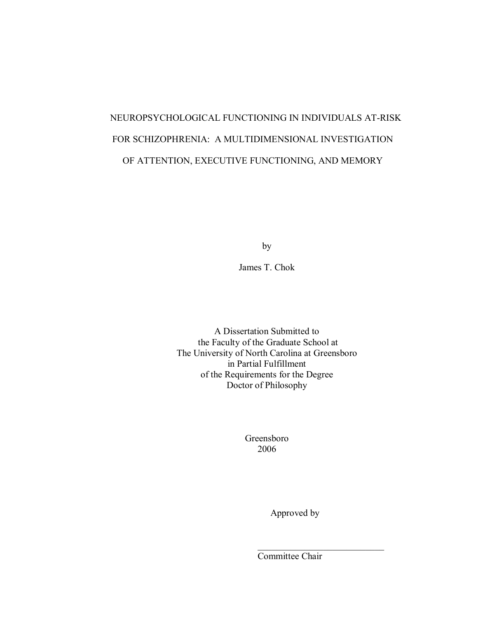# NEUROPSYCHOLOGICAL FUNCTIONING IN INDIVIDUALS AT-RISK FOR SCHIZOPHRENIA: A MULTIDIMENSIONAL INVESTIGATION OF ATTENTION, EXECUTIVE FUNCTIONING, AND MEMORY

by

James T. Chok

A Dissertation Submitted to the Faculty of the Graduate School at The University of North Carolina at Greensboro in Partial Fulfillment of the Requirements for the Degree Doctor of Philosophy

> Greensboro 2006

> > Approved by

Committee Chair

 $\mathcal{L}_\text{max}$  and  $\mathcal{L}_\text{max}$  and  $\mathcal{L}_\text{max}$  and  $\mathcal{L}_\text{max}$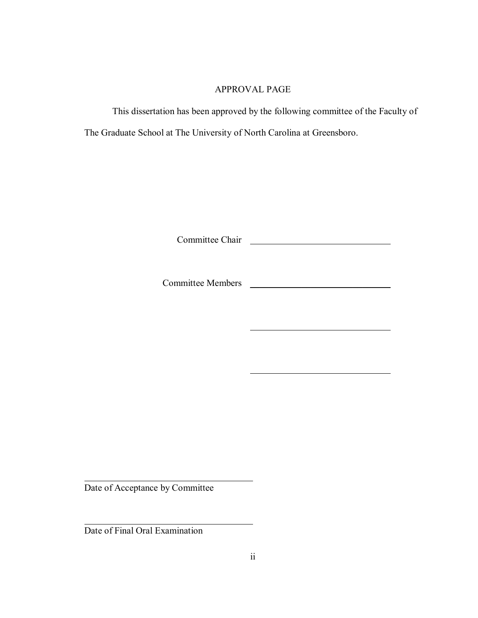## APPROVAL PAGE

 This dissertation has been approved by the following committee of the Faculty of The Graduate School at The University of North Carolina at Greensboro.

Committee Chair

Committee Members **Leafer** 

 $\overline{a}$ 

 $\overline{a}$ 

Date of Acceptance by Committee

 $\overline{a}$ 

 $\overline{a}$ 

Date of Final Oral Examination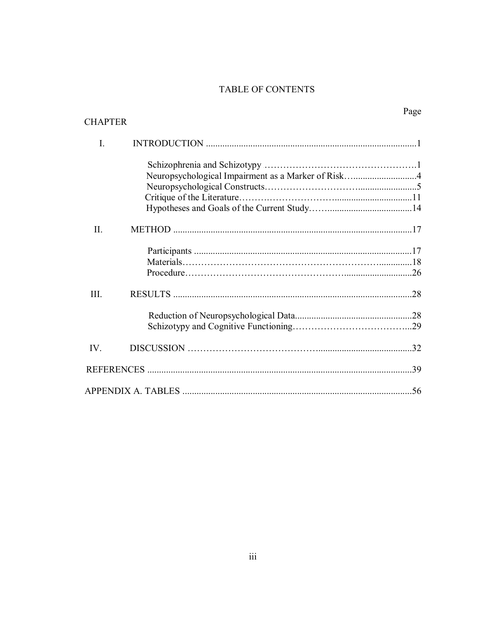## TABLE OF CONTENTS

| <b>CHAPTER</b> |                                                    | Page |
|----------------|----------------------------------------------------|------|
| $\mathbf{I}$ . |                                                    |      |
|                |                                                    |      |
|                | Neuropsychological Impairment as a Marker of Risk4 |      |
|                |                                                    |      |
|                |                                                    |      |
|                |                                                    |      |
| II.            |                                                    |      |
|                |                                                    |      |
|                |                                                    |      |
|                |                                                    |      |
| III.           |                                                    |      |
|                |                                                    |      |
|                |                                                    |      |
| $IV_{\cdot}$   |                                                    |      |
|                |                                                    |      |
|                |                                                    |      |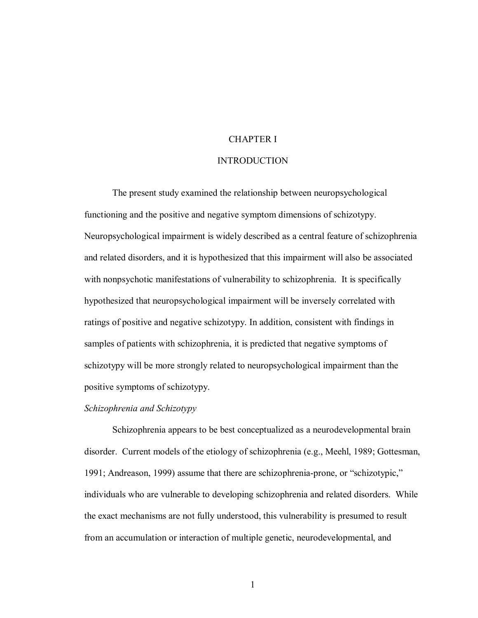## CHAPTER I

#### INTRODUCTION

The present study examined the relationship between neuropsychological functioning and the positive and negative symptom dimensions of schizotypy. Neuropsychological impairment is widely described as a central feature of schizophrenia and related disorders, and it is hypothesized that this impairment will also be associated with nonpsychotic manifestations of vulnerability to schizophrenia. It is specifically hypothesized that neuropsychological impairment will be inversely correlated with ratings of positive and negative schizotypy. In addition, consistent with findings in samples of patients with schizophrenia, it is predicted that negative symptoms of schizotypy will be more strongly related to neuropsychological impairment than the positive symptoms of schizotypy.

## *Schizophrenia and Schizotypy*

Schizophrenia appears to be best conceptualized as a neurodevelopmental brain disorder. Current models of the etiology of schizophrenia (e.g., Meehl, 1989; Gottesman, 1991; Andreason, 1999) assume that there are schizophrenia-prone, or "schizotypic," individuals who are vulnerable to developing schizophrenia and related disorders. While the exact mechanisms are not fully understood, this vulnerability is presumed to result from an accumulation or interaction of multiple genetic, neurodevelopmental, and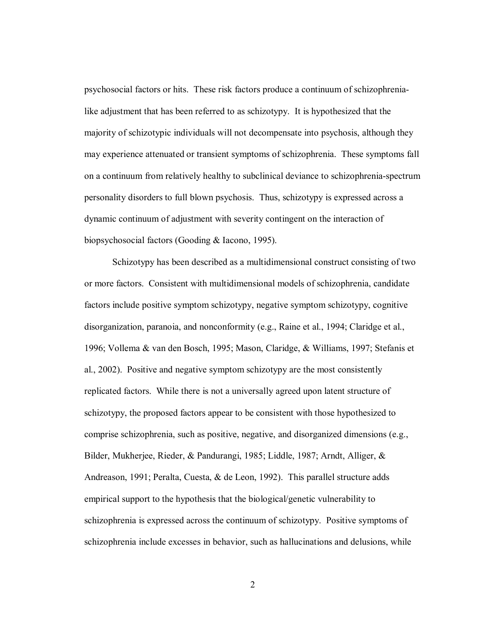psychosocial factors or hits. These risk factors produce a continuum of schizophrenialike adjustment that has been referred to as schizotypy. It is hypothesized that the majority of schizotypic individuals will not decompensate into psychosis, although they may experience attenuated or transient symptoms of schizophrenia. These symptoms fall on a continuum from relatively healthy to subclinical deviance to schizophrenia-spectrum personality disorders to full blown psychosis. Thus, schizotypy is expressed across a dynamic continuum of adjustment with severity contingent on the interaction of biopsychosocial factors (Gooding & Iacono, 1995).

Schizotypy has been described as a multidimensional construct consisting of two or more factors. Consistent with multidimensional models of schizophrenia, candidate factors include positive symptom schizotypy, negative symptom schizotypy, cognitive disorganization, paranoia, and nonconformity (e.g., Raine et al., 1994; Claridge et al., 1996; Vollema & van den Bosch, 1995; Mason, Claridge, & Williams, 1997; Stefanis et al., 2002). Positive and negative symptom schizotypy are the most consistently replicated factors. While there is not a universally agreed upon latent structure of schizotypy, the proposed factors appear to be consistent with those hypothesized to comprise schizophrenia, such as positive, negative, and disorganized dimensions (e.g., Bilder, Mukherjee, Rieder, & Pandurangi, 1985; Liddle, 1987; Arndt, Alliger, & Andreason, 1991; Peralta, Cuesta, & de Leon, 1992). This parallel structure adds empirical support to the hypothesis that the biological/genetic vulnerability to schizophrenia is expressed across the continuum of schizotypy. Positive symptoms of schizophrenia include excesses in behavior, such as hallucinations and delusions, while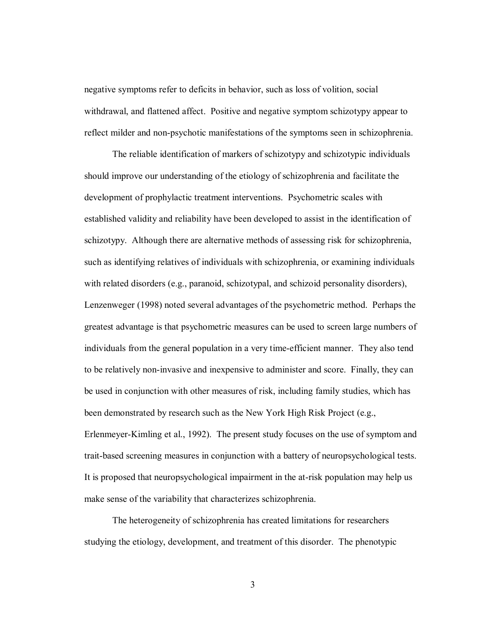negative symptoms refer to deficits in behavior, such as loss of volition, social withdrawal, and flattened affect. Positive and negative symptom schizotypy appear to reflect milder and non-psychotic manifestations of the symptoms seen in schizophrenia.

The reliable identification of markers of schizotypy and schizotypic individuals should improve our understanding of the etiology of schizophrenia and facilitate the development of prophylactic treatment interventions. Psychometric scales with established validity and reliability have been developed to assist in the identification of schizotypy. Although there are alternative methods of assessing risk for schizophrenia, such as identifying relatives of individuals with schizophrenia, or examining individuals with related disorders (e.g., paranoid, schizotypal, and schizoid personality disorders), Lenzenweger (1998) noted several advantages of the psychometric method. Perhaps the greatest advantage is that psychometric measures can be used to screen large numbers of individuals from the general population in a very time-efficient manner. They also tend to be relatively non-invasive and inexpensive to administer and score. Finally, they can be used in conjunction with other measures of risk, including family studies, which has been demonstrated by research such as the New York High Risk Project (e.g., Erlenmeyer-Kimling et al., 1992). The present study focuses on the use of symptom and trait-based screening measures in conjunction with a battery of neuropsychological tests. It is proposed that neuropsychological impairment in the at-risk population may help us make sense of the variability that characterizes schizophrenia.

The heterogeneity of schizophrenia has created limitations for researchers studying the etiology, development, and treatment of this disorder. The phenotypic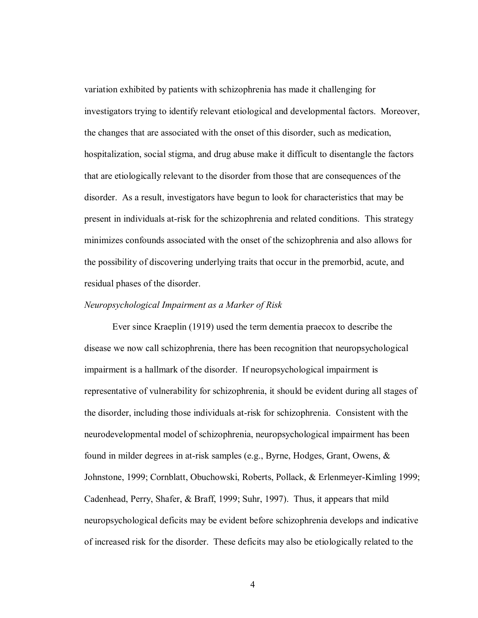variation exhibited by patients with schizophrenia has made it challenging for investigators trying to identify relevant etiological and developmental factors. Moreover, the changes that are associated with the onset of this disorder, such as medication, hospitalization, social stigma, and drug abuse make it difficult to disentangle the factors that are etiologically relevant to the disorder from those that are consequences of the disorder. As a result, investigators have begun to look for characteristics that may be present in individuals at-risk for the schizophrenia and related conditions. This strategy minimizes confounds associated with the onset of the schizophrenia and also allows for the possibility of discovering underlying traits that occur in the premorbid, acute, and residual phases of the disorder.

## *Neuropsychological Impairment as a Marker of Risk*

Ever since Kraeplin (1919) used the term dementia praecox to describe the disease we now call schizophrenia, there has been recognition that neuropsychological impairment is a hallmark of the disorder. If neuropsychological impairment is representative of vulnerability for schizophrenia, it should be evident during all stages of the disorder, including those individuals at-risk for schizophrenia. Consistent with the neurodevelopmental model of schizophrenia, neuropsychological impairment has been found in milder degrees in at-risk samples (e.g., Byrne, Hodges, Grant, Owens, & Johnstone, 1999; Cornblatt, Obuchowski, Roberts, Pollack, & Erlenmeyer-Kimling 1999; Cadenhead, Perry, Shafer, & Braff, 1999; Suhr, 1997). Thus, it appears that mild neuropsychological deficits may be evident before schizophrenia develops and indicative of increased risk for the disorder. These deficits may also be etiologically related to the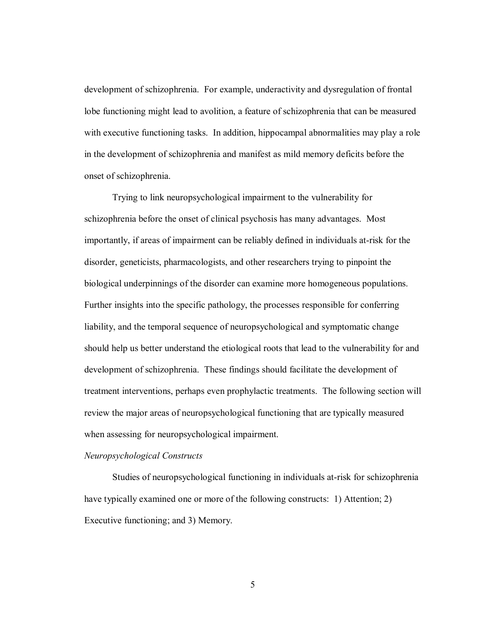development of schizophrenia. For example, underactivity and dysregulation of frontal lobe functioning might lead to avolition, a feature of schizophrenia that can be measured with executive functioning tasks. In addition, hippocampal abnormalities may play a role in the development of schizophrenia and manifest as mild memory deficits before the onset of schizophrenia.

Trying to link neuropsychological impairment to the vulnerability for schizophrenia before the onset of clinical psychosis has many advantages. Most importantly, if areas of impairment can be reliably defined in individuals at-risk for the disorder, geneticists, pharmacologists, and other researchers trying to pinpoint the biological underpinnings of the disorder can examine more homogeneous populations. Further insights into the specific pathology, the processes responsible for conferring liability, and the temporal sequence of neuropsychological and symptomatic change should help us better understand the etiological roots that lead to the vulnerability for and development of schizophrenia. These findings should facilitate the development of treatment interventions, perhaps even prophylactic treatments. The following section will review the major areas of neuropsychological functioning that are typically measured when assessing for neuropsychological impairment.

#### *Neuropsychological Constructs*

 Studies of neuropsychological functioning in individuals at-risk for schizophrenia have typically examined one or more of the following constructs: 1) Attention; 2) Executive functioning; and 3) Memory.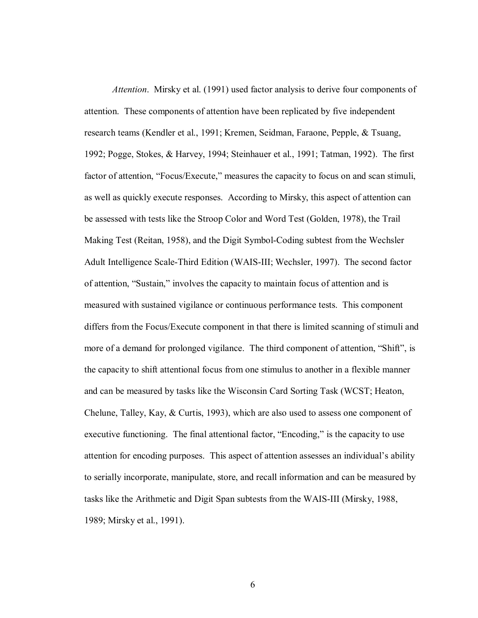*Attention*. Mirsky et al. (1991) used factor analysis to derive four components of attention. These components of attention have been replicated by five independent research teams (Kendler et al., 1991; Kremen, Seidman, Faraone, Pepple, & Tsuang, 1992; Pogge, Stokes, & Harvey, 1994; Steinhauer et al., 1991; Tatman, 1992). The first factor of attention, "Focus/Execute," measures the capacity to focus on and scan stimuli, as well as quickly execute responses. According to Mirsky, this aspect of attention can be assessed with tests like the Stroop Color and Word Test (Golden, 1978), the Trail Making Test (Reitan, 1958), and the Digit Symbol-Coding subtest from the Wechsler Adult Intelligence Scale-Third Edition (WAIS-III; Wechsler, 1997). The second factor of attention, "Sustain," involves the capacity to maintain focus of attention and is measured with sustained vigilance or continuous performance tests. This component differs from the Focus/Execute component in that there is limited scanning of stimuli and more of a demand for prolonged vigilance. The third component of attention, "Shift", is the capacity to shift attentional focus from one stimulus to another in a flexible manner and can be measured by tasks like the Wisconsin Card Sorting Task (WCST; Heaton, Chelune, Talley, Kay, & Curtis, 1993), which are also used to assess one component of executive functioning. The final attentional factor, "Encoding," is the capacity to use attention for encoding purposes. This aspect of attention assesses an individual's ability to serially incorporate, manipulate, store, and recall information and can be measured by tasks like the Arithmetic and Digit Span subtests from the WAIS-III (Mirsky, 1988, 1989; Mirsky et al., 1991).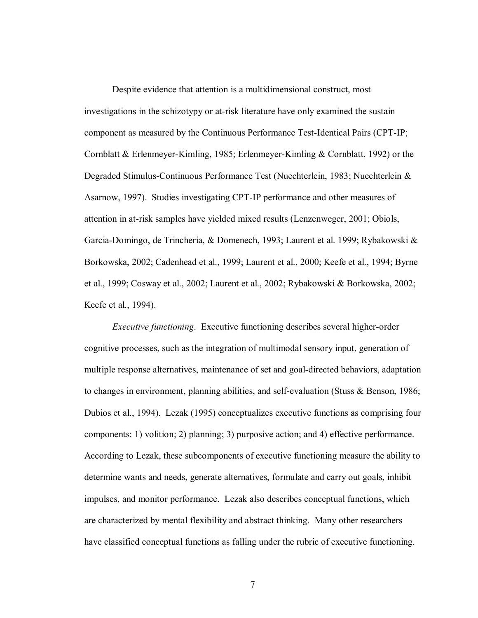Despite evidence that attention is a multidimensional construct, most investigations in the schizotypy or at-risk literature have only examined the sustain component as measured by the Continuous Performance Test-Identical Pairs (CPT-IP; Cornblatt & Erlenmeyer-Kimling, 1985; Erlenmeyer-Kimling & Cornblatt, 1992) or the Degraded Stimulus-Continuous Performance Test (Nuechterlein, 1983; Nuechterlein & Asarnow, 1997). Studies investigating CPT-IP performance and other measures of attention in at-risk samples have yielded mixed results (Lenzenweger, 2001; Obiols, Garcia-Domingo, de Trincheria, & Domenech, 1993; Laurent et al. 1999; Rybakowski & Borkowska, 2002; Cadenhead et al., 1999; Laurent et al., 2000; Keefe et al., 1994; Byrne et al., 1999; Cosway et al., 2002; Laurent et al., 2002; Rybakowski & Borkowska, 2002; Keefe et al., 1994).

*Executive functioning*. Executive functioning describes several higher-order cognitive processes, such as the integration of multimodal sensory input, generation of multiple response alternatives, maintenance of set and goal-directed behaviors, adaptation to changes in environment, planning abilities, and self-evaluation (Stuss & Benson, 1986; Dubios et al., 1994). Lezak (1995) conceptualizes executive functions as comprising four components: 1) volition; 2) planning; 3) purposive action; and 4) effective performance. According to Lezak, these subcomponents of executive functioning measure the ability to determine wants and needs, generate alternatives, formulate and carry out goals, inhibit impulses, and monitor performance. Lezak also describes conceptual functions, which are characterized by mental flexibility and abstract thinking. Many other researchers have classified conceptual functions as falling under the rubric of executive functioning.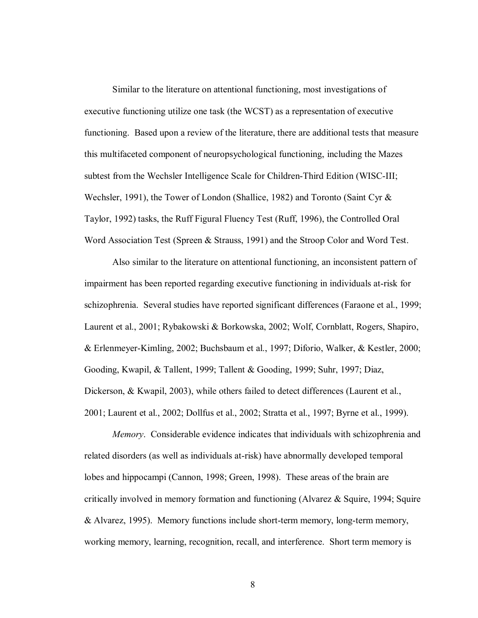Similar to the literature on attentional functioning, most investigations of executive functioning utilize one task (the WCST) as a representation of executive functioning. Based upon a review of the literature, there are additional tests that measure this multifaceted component of neuropsychological functioning, including the Mazes subtest from the Wechsler Intelligence Scale for Children-Third Edition (WISC-III; Wechsler, 1991), the Tower of London (Shallice, 1982) and Toronto (Saint Cyr & Taylor, 1992) tasks, the Ruff Figural Fluency Test (Ruff, 1996), the Controlled Oral Word Association Test (Spreen & Strauss, 1991) and the Stroop Color and Word Test.

 Also similar to the literature on attentional functioning, an inconsistent pattern of impairment has been reported regarding executive functioning in individuals at-risk for schizophrenia. Several studies have reported significant differences (Faraone et al., 1999; Laurent et al., 2001; Rybakowski & Borkowska, 2002; Wolf, Cornblatt, Rogers, Shapiro, & Erlenmeyer-Kimling, 2002; Buchsbaum et al., 1997; Diforio, Walker, & Kestler, 2000; Gooding, Kwapil, & Tallent, 1999; Tallent & Gooding, 1999; Suhr, 1997; Diaz, Dickerson, & Kwapil, 2003), while others failed to detect differences (Laurent et al., 2001; Laurent et al., 2002; Dollfus et al., 2002; Stratta et al., 1997; Byrne et al., 1999).

*Memory*. Considerable evidence indicates that individuals with schizophrenia and related disorders (as well as individuals at-risk) have abnormally developed temporal lobes and hippocampi (Cannon, 1998; Green, 1998). These areas of the brain are critically involved in memory formation and functioning (Alvarez & Squire, 1994; Squire & Alvarez, 1995). Memory functions include short-term memory, long-term memory, working memory, learning, recognition, recall, and interference. Short term memory is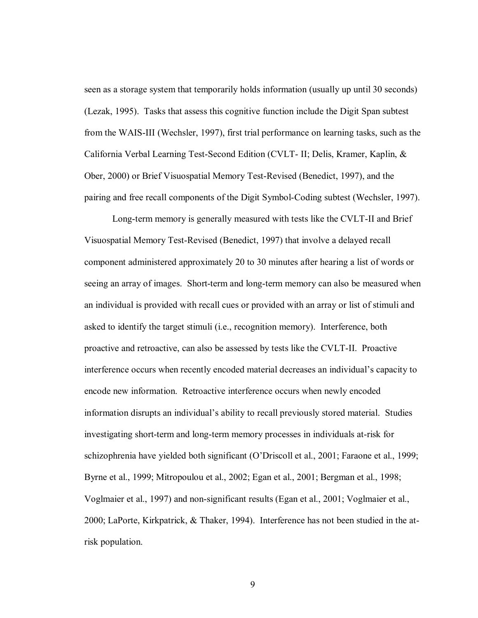seen as a storage system that temporarily holds information (usually up until 30 seconds) (Lezak, 1995). Tasks that assess this cognitive function include the Digit Span subtest from the WAIS-III (Wechsler, 1997), first trial performance on learning tasks, such as the California Verbal Learning Test-Second Edition (CVLT- II; Delis, Kramer, Kaplin, & Ober, 2000) or Brief Visuospatial Memory Test-Revised (Benedict, 1997), and the pairing and free recall components of the Digit Symbol-Coding subtest (Wechsler, 1997).

Long-term memory is generally measured with tests like the CVLT-II and Brief Visuospatial Memory Test-Revised (Benedict, 1997) that involve a delayed recall component administered approximately 20 to 30 minutes after hearing a list of words or seeing an array of images. Short-term and long-term memory can also be measured when an individual is provided with recall cues or provided with an array or list of stimuli and asked to identify the target stimuli (i.e., recognition memory). Interference, both proactive and retroactive, can also be assessed by tests like the CVLT-II. Proactive interference occurs when recently encoded material decreases an individual's capacity to encode new information. Retroactive interference occurs when newly encoded information disrupts an individual's ability to recall previously stored material. Studies investigating short-term and long-term memory processes in individuals at-risk for schizophrenia have yielded both significant (O'Driscoll et al., 2001; Faraone et al., 1999; Byrne et al., 1999; Mitropoulou et al., 2002; Egan et al., 2001; Bergman et al., 1998; Voglmaier et al., 1997) and non-significant results (Egan et al., 2001; Voglmaier et al., 2000; LaPorte, Kirkpatrick, & Thaker, 1994). Interference has not been studied in the atrisk population.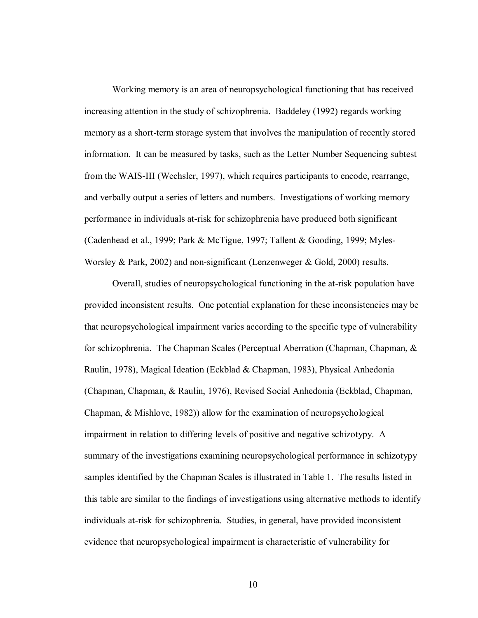Working memory is an area of neuropsychological functioning that has received increasing attention in the study of schizophrenia. Baddeley (1992) regards working memory as a short-term storage system that involves the manipulation of recently stored information. It can be measured by tasks, such as the Letter Number Sequencing subtest from the WAIS-III (Wechsler, 1997), which requires participants to encode, rearrange, and verbally output a series of letters and numbers. Investigations of working memory performance in individuals at-risk for schizophrenia have produced both significant (Cadenhead et al., 1999; Park & McTigue, 1997; Tallent & Gooding, 1999; Myles-Worsley & Park, 2002) and non-significant (Lenzenweger & Gold, 2000) results.

Overall, studies of neuropsychological functioning in the at-risk population have provided inconsistent results. One potential explanation for these inconsistencies may be that neuropsychological impairment varies according to the specific type of vulnerability for schizophrenia. The Chapman Scales (Perceptual Aberration (Chapman, Chapman, & Raulin, 1978), Magical Ideation (Eckblad & Chapman, 1983), Physical Anhedonia (Chapman, Chapman, & Raulin, 1976), Revised Social Anhedonia (Eckblad, Chapman, Chapman, & Mishlove, 1982)) allow for the examination of neuropsychological impairment in relation to differing levels of positive and negative schizotypy. A summary of the investigations examining neuropsychological performance in schizotypy samples identified by the Chapman Scales is illustrated in Table 1. The results listed in this table are similar to the findings of investigations using alternative methods to identify individuals at-risk for schizophrenia. Studies, in general, have provided inconsistent evidence that neuropsychological impairment is characteristic of vulnerability for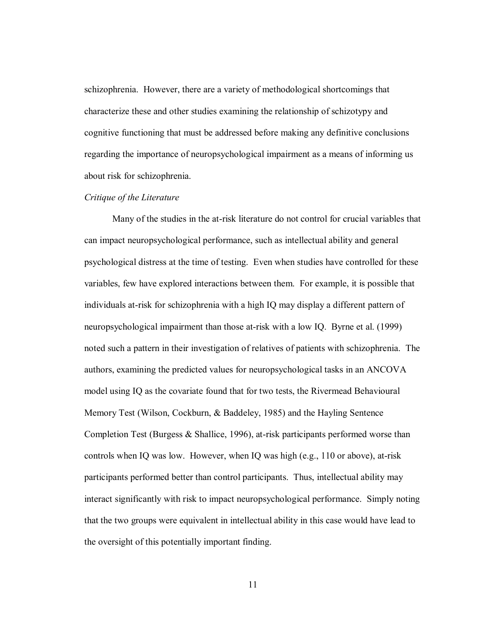schizophrenia. However, there are a variety of methodological shortcomings that characterize these and other studies examining the relationship of schizotypy and cognitive functioning that must be addressed before making any definitive conclusions regarding the importance of neuropsychological impairment as a means of informing us about risk for schizophrenia.

#### *Critique of the Literature*

Many of the studies in the at-risk literature do not control for crucial variables that can impact neuropsychological performance, such as intellectual ability and general psychological distress at the time of testing. Even when studies have controlled for these variables, few have explored interactions between them. For example, it is possible that individuals at-risk for schizophrenia with a high IQ may display a different pattern of neuropsychological impairment than those at-risk with a low IQ. Byrne et al. (1999) noted such a pattern in their investigation of relatives of patients with schizophrenia. The authors, examining the predicted values for neuropsychological tasks in an ANCOVA model using IQ as the covariate found that for two tests, the Rivermead Behavioural Memory Test (Wilson, Cockburn, & Baddeley, 1985) and the Hayling Sentence Completion Test (Burgess & Shallice, 1996), at-risk participants performed worse than controls when IQ was low. However, when IQ was high (e.g., 110 or above), at-risk participants performed better than control participants. Thus, intellectual ability may interact significantly with risk to impact neuropsychological performance. Simply noting that the two groups were equivalent in intellectual ability in this case would have lead to the oversight of this potentially important finding.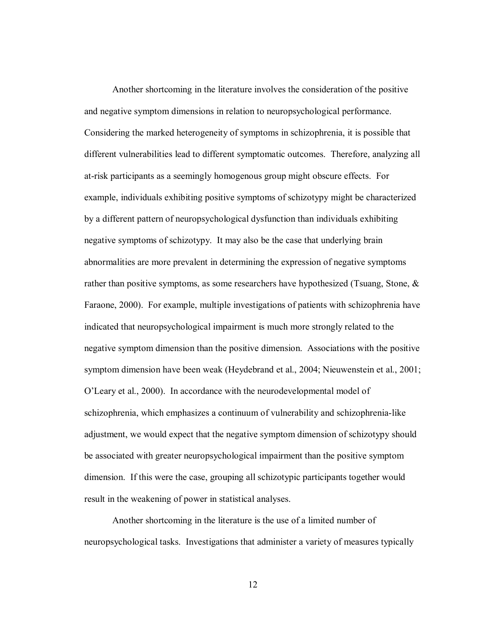Another shortcoming in the literature involves the consideration of the positive and negative symptom dimensions in relation to neuropsychological performance. Considering the marked heterogeneity of symptoms in schizophrenia, it is possible that different vulnerabilities lead to different symptomatic outcomes. Therefore, analyzing all at-risk participants as a seemingly homogenous group might obscure effects. For example, individuals exhibiting positive symptoms of schizotypy might be characterized by a different pattern of neuropsychological dysfunction than individuals exhibiting negative symptoms of schizotypy. It may also be the case that underlying brain abnormalities are more prevalent in determining the expression of negative symptoms rather than positive symptoms, as some researchers have hypothesized (Tsuang, Stone, & Faraone, 2000). For example, multiple investigations of patients with schizophrenia have indicated that neuropsychological impairment is much more strongly related to the negative symptom dimension than the positive dimension. Associations with the positive symptom dimension have been weak (Heydebrand et al., 2004; Nieuwenstein et al., 2001; O'Leary et al., 2000). In accordance with the neurodevelopmental model of schizophrenia, which emphasizes a continuum of vulnerability and schizophrenia-like adjustment, we would expect that the negative symptom dimension of schizotypy should be associated with greater neuropsychological impairment than the positive symptom dimension. If this were the case, grouping all schizotypic participants together would result in the weakening of power in statistical analyses.

Another shortcoming in the literature is the use of a limited number of neuropsychological tasks. Investigations that administer a variety of measures typically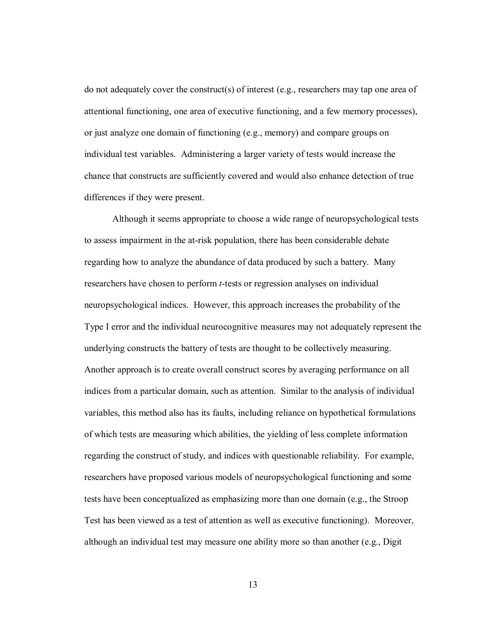do not adequately cover the construct(s) of interest (e.g., researchers may tap one area of attentional functioning, one area of executive functioning, and a few memory processes), or just analyze one domain of functioning (e.g., memory) and compare groups on individual test variables. Administering a larger variety of tests would increase the chance that constructs are sufficiently covered and would also enhance detection of true differences if they were present.

Although it seems appropriate to choose a wide range of neuropsychological tests to assess impairment in the at-risk population, there has been considerable debate regarding how to analyze the abundance of data produced by such a battery. Many researchers have chosen to perform *t*-tests or regression analyses on individual neuropsychological indices. However, this approach increases the probability of the Type I error and the individual neurocognitive measures may not adequately represent the underlying constructs the battery of tests are thought to be collectively measuring. Another approach is to create overall construct scores by averaging performance on all indices from a particular domain, such as attention. Similar to the analysis of individual variables, this method also has its faults, including reliance on hypothetical formulations of which tests are measuring which abilities, the yielding of less complete information regarding the construct of study, and indices with questionable reliability. For example, researchers have proposed various models of neuropsychological functioning and some tests have been conceptualized as emphasizing more than one domain (e.g., the Stroop Test has been viewed as a test of attention as well as executive functioning). Moreover, although an individual test may measure one ability more so than another (e.g., Digit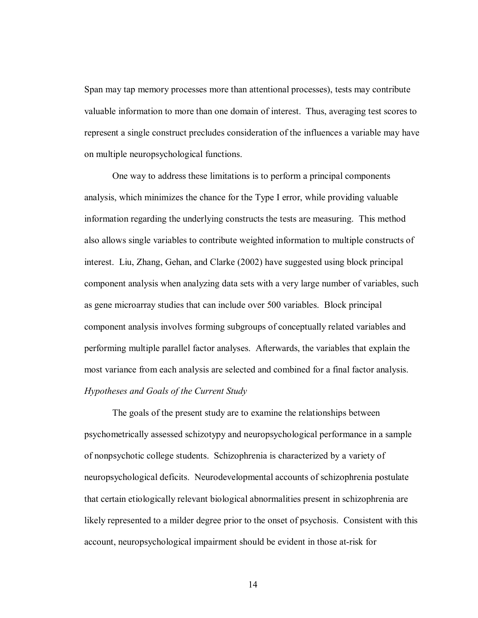Span may tap memory processes more than attentional processes), tests may contribute valuable information to more than one domain of interest. Thus, averaging test scores to represent a single construct precludes consideration of the influences a variable may have on multiple neuropsychological functions.

One way to address these limitations is to perform a principal components analysis, which minimizes the chance for the Type I error, while providing valuable information regarding the underlying constructs the tests are measuring. This method also allows single variables to contribute weighted information to multiple constructs of interest. Liu, Zhang, Gehan, and Clarke (2002) have suggested using block principal component analysis when analyzing data sets with a very large number of variables, such as gene microarray studies that can include over 500 variables. Block principal component analysis involves forming subgroups of conceptually related variables and performing multiple parallel factor analyses. Afterwards, the variables that explain the most variance from each analysis are selected and combined for a final factor analysis. *Hypotheses and Goals of the Current Study* 

The goals of the present study are to examine the relationships between psychometrically assessed schizotypy and neuropsychological performance in a sample of nonpsychotic college students. Schizophrenia is characterized by a variety of neuropsychological deficits. Neurodevelopmental accounts of schizophrenia postulate that certain etiologically relevant biological abnormalities present in schizophrenia are likely represented to a milder degree prior to the onset of psychosis. Consistent with this account, neuropsychological impairment should be evident in those at-risk for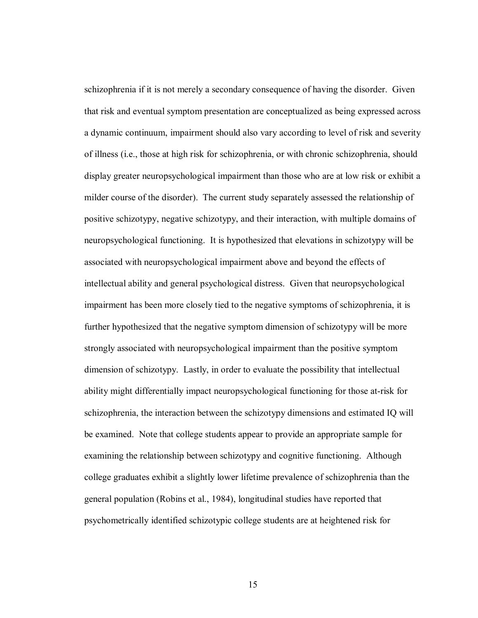schizophrenia if it is not merely a secondary consequence of having the disorder. Given that risk and eventual symptom presentation are conceptualized as being expressed across a dynamic continuum, impairment should also vary according to level of risk and severity of illness (i.e., those at high risk for schizophrenia, or with chronic schizophrenia, should display greater neuropsychological impairment than those who are at low risk or exhibit a milder course of the disorder). The current study separately assessed the relationship of positive schizotypy, negative schizotypy, and their interaction, with multiple domains of neuropsychological functioning. It is hypothesized that elevations in schizotypy will be associated with neuropsychological impairment above and beyond the effects of intellectual ability and general psychological distress. Given that neuropsychological impairment has been more closely tied to the negative symptoms of schizophrenia, it is further hypothesized that the negative symptom dimension of schizotypy will be more strongly associated with neuropsychological impairment than the positive symptom dimension of schizotypy. Lastly, in order to evaluate the possibility that intellectual ability might differentially impact neuropsychological functioning for those at-risk for schizophrenia, the interaction between the schizotypy dimensions and estimated IQ will be examined. Note that college students appear to provide an appropriate sample for examining the relationship between schizotypy and cognitive functioning. Although college graduates exhibit a slightly lower lifetime prevalence of schizophrenia than the general population (Robins et al., 1984), longitudinal studies have reported that psychometrically identified schizotypic college students are at heightened risk for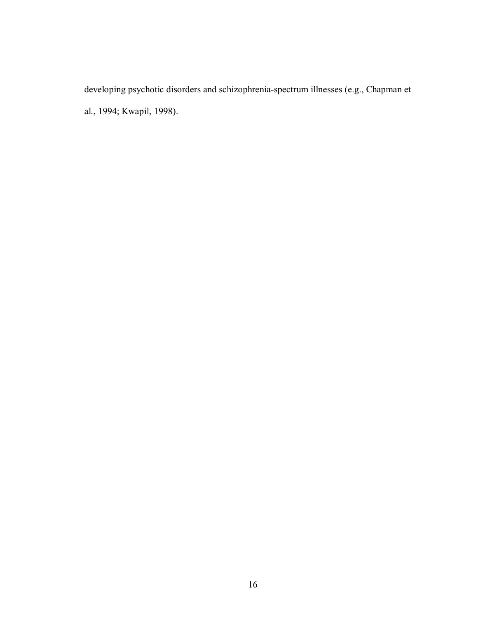developing psychotic disorders and schizophrenia-spectrum illnesses (e.g., Chapman et al., 1994; Kwapil, 1998).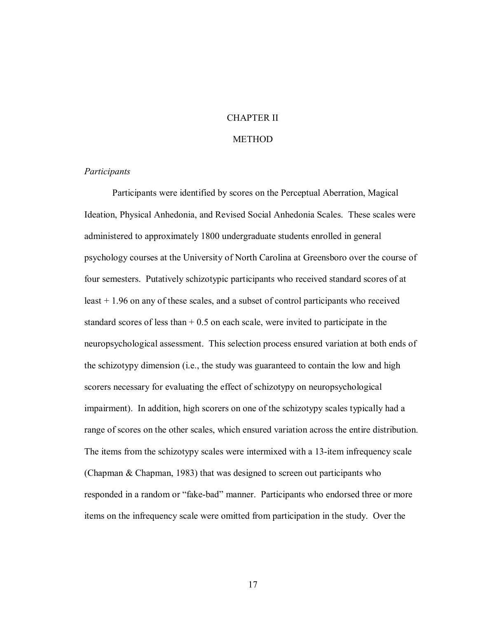## CHAPTER II

## **METHOD**

## *Participants*

 Participants were identified by scores on the Perceptual Aberration, Magical Ideation, Physical Anhedonia, and Revised Social Anhedonia Scales. These scales were administered to approximately 1800 undergraduate students enrolled in general psychology courses at the University of North Carolina at Greensboro over the course of four semesters. Putatively schizotypic participants who received standard scores of at least + 1.96 on any of these scales, and a subset of control participants who received standard scores of less than  $+0.5$  on each scale, were invited to participate in the neuropsychological assessment. This selection process ensured variation at both ends of the schizotypy dimension (i.e., the study was guaranteed to contain the low and high scorers necessary for evaluating the effect of schizotypy on neuropsychological impairment). In addition, high scorers on one of the schizotypy scales typically had a range of scores on the other scales, which ensured variation across the entire distribution. The items from the schizotypy scales were intermixed with a 13-item infrequency scale (Chapman & Chapman, 1983) that was designed to screen out participants who responded in a random or "fake-bad" manner. Participants who endorsed three or more items on the infrequency scale were omitted from participation in the study. Over the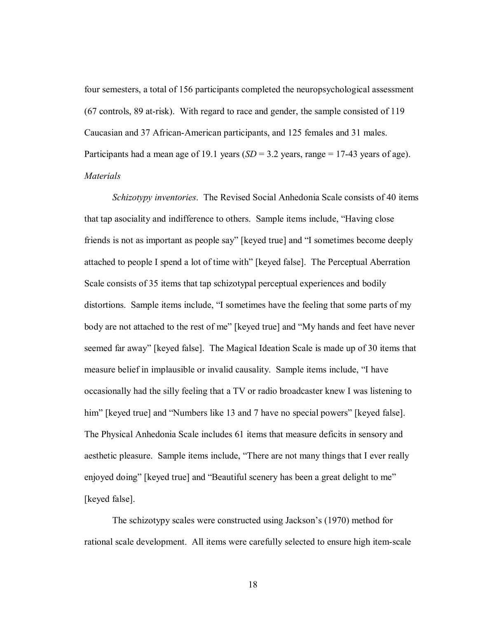four semesters, a total of 156 participants completed the neuropsychological assessment (67 controls, 89 at-risk). With regard to race and gender, the sample consisted of 119 Caucasian and 37 African-American participants, and 125 females and 31 males. Participants had a mean age of 19.1 years ( $SD = 3.2$  years, range = 17-43 years of age). *Materials* 

*Schizotypy inventories*. The Revised Social Anhedonia Scale consists of 40 items that tap asociality and indifference to others. Sample items include, "Having close friends is not as important as people say" [keyed true] and "I sometimes become deeply attached to people I spend a lot of time with" [keyed false]. The Perceptual Aberration Scale consists of 35 items that tap schizotypal perceptual experiences and bodily distortions. Sample items include, "I sometimes have the feeling that some parts of my body are not attached to the rest of me" [keyed true] and "My hands and feet have never seemed far away" [keyed false]. The Magical Ideation Scale is made up of 30 items that measure belief in implausible or invalid causality. Sample items include, "I have occasionally had the silly feeling that a TV or radio broadcaster knew I was listening to him" [keyed true] and "Numbers like 13 and 7 have no special powers" [keyed false]. The Physical Anhedonia Scale includes 61 items that measure deficits in sensory and aesthetic pleasure. Sample items include, "There are not many things that I ever really enjoyed doing" [keyed true] and "Beautiful scenery has been a great delight to me" [keyed false].

 The schizotypy scales were constructed using Jackson's (1970) method for rational scale development. All items were carefully selected to ensure high item-scale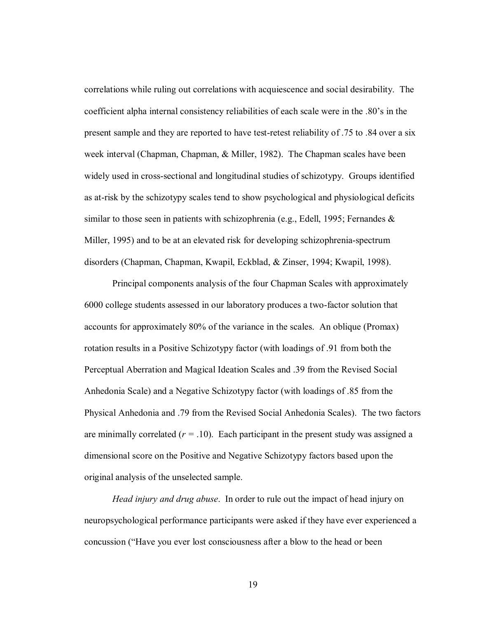correlations while ruling out correlations with acquiescence and social desirability. The coefficient alpha internal consistency reliabilities of each scale were in the .80's in the present sample and they are reported to have test-retest reliability of .75 to .84 over a six week interval (Chapman, Chapman, & Miller, 1982). The Chapman scales have been widely used in cross-sectional and longitudinal studies of schizotypy. Groups identified as at-risk by the schizotypy scales tend to show psychological and physiological deficits similar to those seen in patients with schizophrenia (e.g., Edell, 1995; Fernandes  $\&$ Miller, 1995) and to be at an elevated risk for developing schizophrenia-spectrum disorders (Chapman, Chapman, Kwapil, Eckblad, & Zinser, 1994; Kwapil, 1998).

 Principal components analysis of the four Chapman Scales with approximately 6000 college students assessed in our laboratory produces a two-factor solution that accounts for approximately 80% of the variance in the scales. An oblique (Promax) rotation results in a Positive Schizotypy factor (with loadings of .91 from both the Perceptual Aberration and Magical Ideation Scales and .39 from the Revised Social Anhedonia Scale) and a Negative Schizotypy factor (with loadings of .85 from the Physical Anhedonia and .79 from the Revised Social Anhedonia Scales). The two factors are minimally correlated  $(r = .10)$ . Each participant in the present study was assigned a dimensional score on the Positive and Negative Schizotypy factors based upon the original analysis of the unselected sample.

*Head injury and drug abuse*. In order to rule out the impact of head injury on neuropsychological performance participants were asked if they have ever experienced a concussion ("Have you ever lost consciousness after a blow to the head or been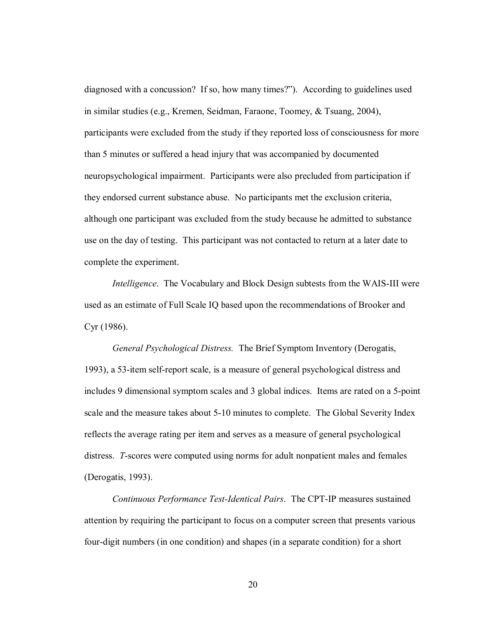diagnosed with a concussion? If so, how many times?"). According to guidelines used in similar studies (e.g., Kremen, Seidman, Faraone, Toomey, & Tsuang, 2004), participants were excluded from the study if they reported loss of consciousness for more than 5 minutes or suffered a head injury that was accompanied by documented neuropsychological impairment. Participants were also precluded from participation if they endorsed current substance abuse. No participants met the exclusion criteria, although one participant was excluded from the study because he admitted to substance use on the day of testing. This participant was not contacted to return at a later date to complete the experiment.

*Intelligence*. The Vocabulary and Block Design subtests from the WAIS-III were used as an estimate of Full Scale IQ based upon the recommendations of Brooker and Cyr (1986).

*General Psychological Distress.* The Brief Symptom Inventory (Derogatis, 1993), a 53-item self-report scale, is a measure of general psychological distress and includes 9 dimensional symptom scales and 3 global indices. Items are rated on a 5-point scale and the measure takes about 5-10 minutes to complete. The Global Severity Index reflects the average rating per item and serves as a measure of general psychological distress. *T*-scores were computed using norms for adult nonpatient males and females (Derogatis, 1993).

*Continuous Performance Test-Identical Pairs*. The CPT-IP measures sustained attention by requiring the participant to focus on a computer screen that presents various four-digit numbers (in one condition) and shapes (in a separate condition) for a short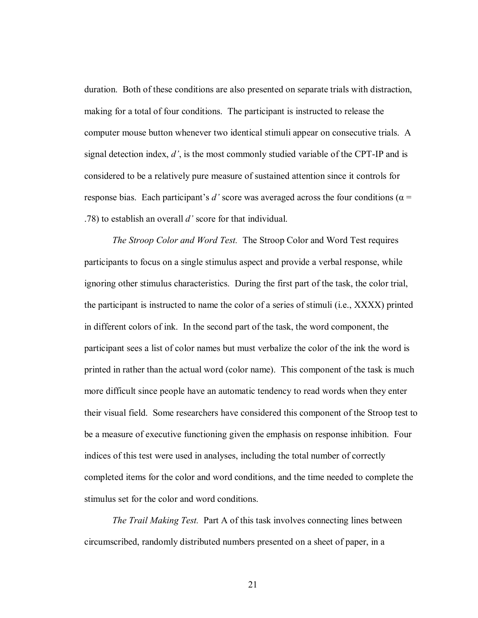duration. Both of these conditions are also presented on separate trials with distraction, making for a total of four conditions. The participant is instructed to release the computer mouse button whenever two identical stimuli appear on consecutive trials. A signal detection index, *d'*, is the most commonly studied variable of the CPT-IP and is considered to be a relatively pure measure of sustained attention since it controls for response bias. Each participant's *d'* score was averaged across the four conditions ( $\alpha$  = .78) to establish an overall *d'* score for that individual.

*The Stroop Color and Word Test.* The Stroop Color and Word Test requires participants to focus on a single stimulus aspect and provide a verbal response, while ignoring other stimulus characteristics. During the first part of the task, the color trial, the participant is instructed to name the color of a series of stimuli (i.e., XXXX) printed in different colors of ink. In the second part of the task, the word component, the participant sees a list of color names but must verbalize the color of the ink the word is printed in rather than the actual word (color name). This component of the task is much more difficult since people have an automatic tendency to read words when they enter their visual field. Some researchers have considered this component of the Stroop test to be a measure of executive functioning given the emphasis on response inhibition. Four indices of this test were used in analyses, including the total number of correctly completed items for the color and word conditions, and the time needed to complete the stimulus set for the color and word conditions.

*The Trail Making Test.* Part A of this task involves connecting lines between circumscribed, randomly distributed numbers presented on a sheet of paper, in a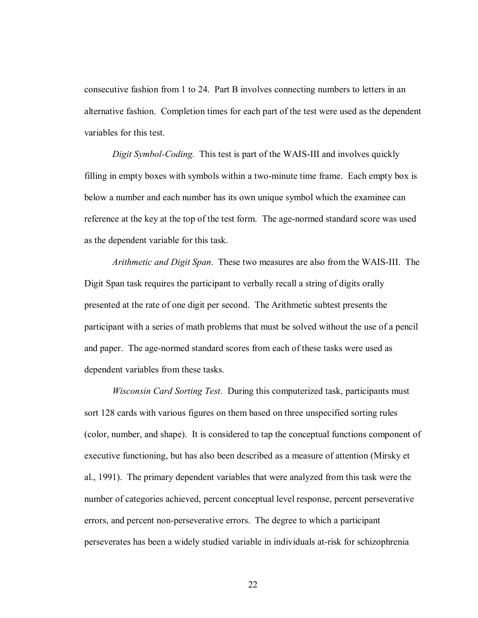consecutive fashion from 1 to 24. Part B involves connecting numbers to letters in an alternative fashion. Completion times for each part of the test were used as the dependent variables for this test.

*Digit Symbol-Coding.* This test is part of the WAIS-III and involves quickly filling in empty boxes with symbols within a two-minute time frame. Each empty box is below a number and each number has its own unique symbol which the examinee can reference at the key at the top of the test form. The age-normed standard score was used as the dependent variable for this task.

*Arithmetic and Digit Span*. These two measures are also from the WAIS-III. The Digit Span task requires the participant to verbally recall a string of digits orally presented at the rate of one digit per second. The Arithmetic subtest presents the participant with a series of math problems that must be solved without the use of a pencil and paper. The age-normed standard scores from each of these tasks were used as dependent variables from these tasks.

*Wisconsin Card Sorting Test*. During this computerized task, participants must sort 128 cards with various figures on them based on three unspecified sorting rules (color, number, and shape). It is considered to tap the conceptual functions component of executive functioning, but has also been described as a measure of attention (Mirsky et al., 1991). The primary dependent variables that were analyzed from this task were the number of categories achieved, percent conceptual level response, percent perseverative errors, and percent non-perseverative errors. The degree to which a participant perseverates has been a widely studied variable in individuals at-risk for schizophrenia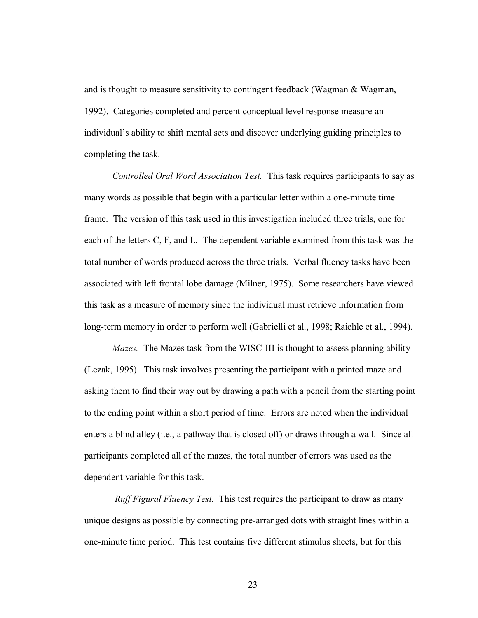and is thought to measure sensitivity to contingent feedback (Wagman & Wagman, 1992). Categories completed and percent conceptual level response measure an individual's ability to shift mental sets and discover underlying guiding principles to completing the task.

*Controlled Oral Word Association Test.* This task requires participants to say as many words as possible that begin with a particular letter within a one-minute time frame. The version of this task used in this investigation included three trials, one for each of the letters C, F, and L. The dependent variable examined from this task was the total number of words produced across the three trials. Verbal fluency tasks have been associated with left frontal lobe damage (Milner, 1975). Some researchers have viewed this task as a measure of memory since the individual must retrieve information from long-term memory in order to perform well (Gabrielli et al., 1998; Raichle et al., 1994).

*Mazes.* The Mazes task from the WISC-III is thought to assess planning ability (Lezak, 1995). This task involves presenting the participant with a printed maze and asking them to find their way out by drawing a path with a pencil from the starting point to the ending point within a short period of time. Errors are noted when the individual enters a blind alley (i.e., a pathway that is closed off) or draws through a wall. Since all participants completed all of the mazes, the total number of errors was used as the dependent variable for this task.

 *Ruff Figural Fluency Test.* This test requires the participant to draw as many unique designs as possible by connecting pre-arranged dots with straight lines within a one-minute time period. This test contains five different stimulus sheets, but for this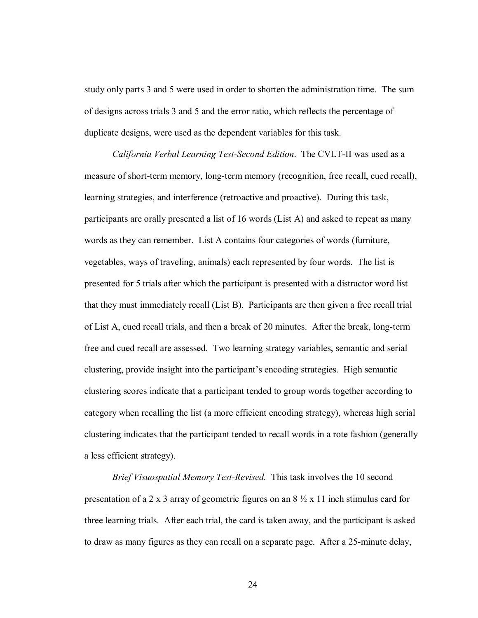study only parts 3 and 5 were used in order to shorten the administration time. The sum of designs across trials 3 and 5 and the error ratio, which reflects the percentage of duplicate designs, were used as the dependent variables for this task.

 *California Verbal Learning Test-Second Edition*. The CVLT-II was used as a measure of short-term memory, long-term memory (recognition, free recall, cued recall), learning strategies, and interference (retroactive and proactive). During this task, participants are orally presented a list of 16 words (List A) and asked to repeat as many words as they can remember. List A contains four categories of words (furniture, vegetables, ways of traveling, animals) each represented by four words. The list is presented for 5 trials after which the participant is presented with a distractor word list that they must immediately recall (List B). Participants are then given a free recall trial of List A, cued recall trials, and then a break of 20 minutes. After the break, long-term free and cued recall are assessed. Two learning strategy variables, semantic and serial clustering, provide insight into the participant's encoding strategies. High semantic clustering scores indicate that a participant tended to group words together according to category when recalling the list (a more efficient encoding strategy), whereas high serial clustering indicates that the participant tended to recall words in a rote fashion (generally a less efficient strategy).

*Brief Visuospatial Memory Test-Revised.* This task involves the 10 second presentation of a 2 x 3 array of geometric figures on an  $8\frac{1}{2}$  x 11 inch stimulus card for three learning trials. After each trial, the card is taken away, and the participant is asked to draw as many figures as they can recall on a separate page. After a 25-minute delay,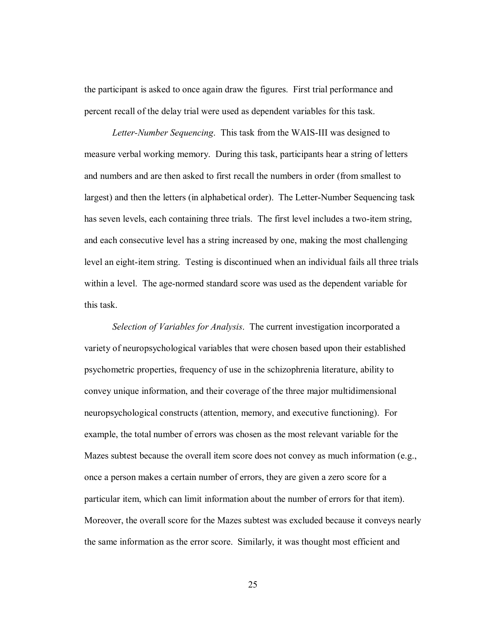the participant is asked to once again draw the figures. First trial performance and percent recall of the delay trial were used as dependent variables for this task.

*Letter-Number Sequencing*. This task from the WAIS-III was designed to measure verbal working memory. During this task, participants hear a string of letters and numbers and are then asked to first recall the numbers in order (from smallest to largest) and then the letters (in alphabetical order). The Letter-Number Sequencing task has seven levels, each containing three trials. The first level includes a two-item string, and each consecutive level has a string increased by one, making the most challenging level an eight-item string. Testing is discontinued when an individual fails all three trials within a level. The age-normed standard score was used as the dependent variable for this task.

*Selection of Variables for Analysis*. The current investigation incorporated a variety of neuropsychological variables that were chosen based upon their established psychometric properties, frequency of use in the schizophrenia literature, ability to convey unique information, and their coverage of the three major multidimensional neuropsychological constructs (attention, memory, and executive functioning). For example, the total number of errors was chosen as the most relevant variable for the Mazes subtest because the overall item score does not convey as much information (e.g., once a person makes a certain number of errors, they are given a zero score for a particular item, which can limit information about the number of errors for that item). Moreover, the overall score for the Mazes subtest was excluded because it conveys nearly the same information as the error score. Similarly, it was thought most efficient and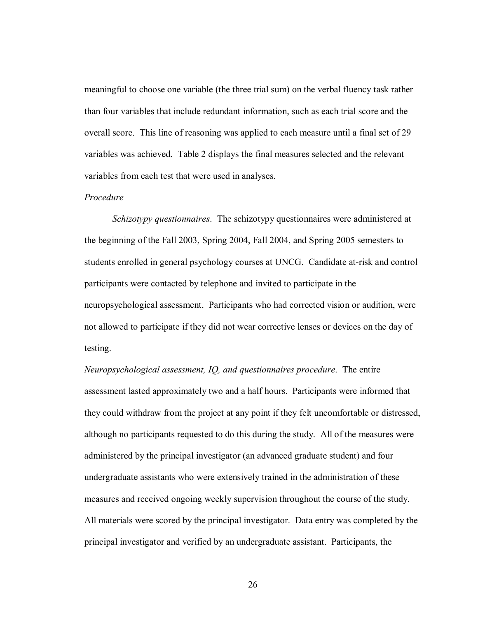meaningful to choose one variable (the three trial sum) on the verbal fluency task rather than four variables that include redundant information, such as each trial score and the overall score. This line of reasoning was applied to each measure until a final set of 29 variables was achieved. Table 2 displays the final measures selected and the relevant variables from each test that were used in analyses.

#### *Procedure*

*Schizotypy questionnaires*. The schizotypy questionnaires were administered at the beginning of the Fall 2003, Spring 2004, Fall 2004, and Spring 2005 semesters to students enrolled in general psychology courses at UNCG. Candidate at-risk and control participants were contacted by telephone and invited to participate in the neuropsychological assessment. Participants who had corrected vision or audition, were not allowed to participate if they did not wear corrective lenses or devices on the day of testing.

*Neuropsychological assessment, IQ, and questionnaires procedure*. The entire assessment lasted approximately two and a half hours. Participants were informed that they could withdraw from the project at any point if they felt uncomfortable or distressed, although no participants requested to do this during the study. All of the measures were administered by the principal investigator (an advanced graduate student) and four undergraduate assistants who were extensively trained in the administration of these measures and received ongoing weekly supervision throughout the course of the study. All materials were scored by the principal investigator. Data entry was completed by the principal investigator and verified by an undergraduate assistant. Participants, the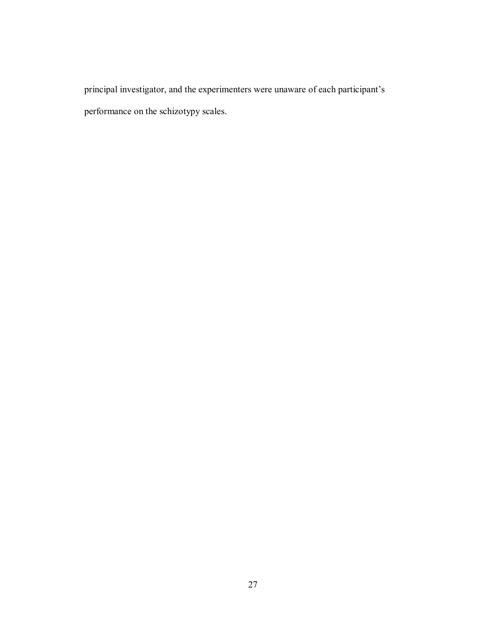principal investigator, and the experimenters were unaware of each participant's performance on the schizotypy scales.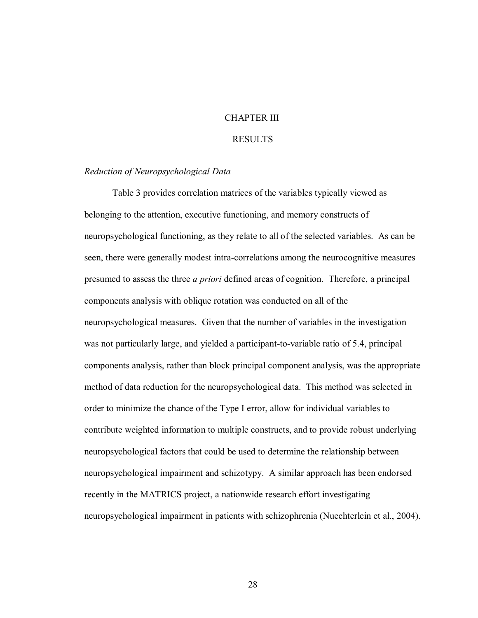## CHAPTER III

## RESULTS

#### *Reduction of Neuropsychological Data*

Table 3 provides correlation matrices of the variables typically viewed as belonging to the attention, executive functioning, and memory constructs of neuropsychological functioning, as they relate to all of the selected variables. As can be seen, there were generally modest intra-correlations among the neurocognitive measures presumed to assess the three *a priori* defined areas of cognition. Therefore, a principal components analysis with oblique rotation was conducted on all of the neuropsychological measures. Given that the number of variables in the investigation was not particularly large, and yielded a participant-to-variable ratio of 5.4, principal components analysis, rather than block principal component analysis, was the appropriate method of data reduction for the neuropsychological data. This method was selected in order to minimize the chance of the Type I error, allow for individual variables to contribute weighted information to multiple constructs, and to provide robust underlying neuropsychological factors that could be used to determine the relationship between neuropsychological impairment and schizotypy. A similar approach has been endorsed recently in the MATRICS project, a nationwide research effort investigating neuropsychological impairment in patients with schizophrenia (Nuechterlein et al., 2004).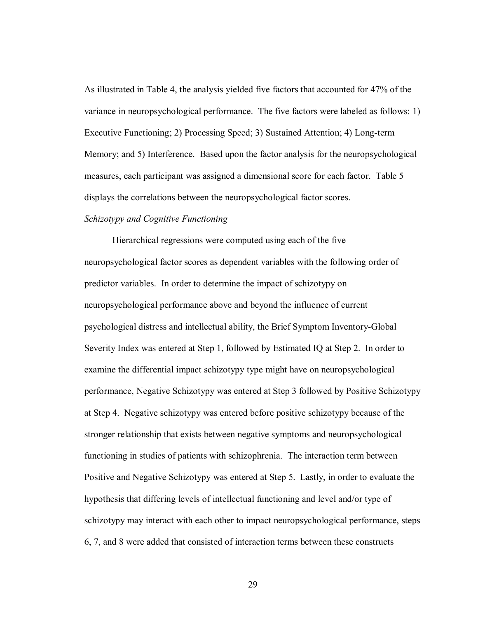As illustrated in Table 4, the analysis yielded five factors that accounted for 47% of the variance in neuropsychological performance. The five factors were labeled as follows: 1) Executive Functioning; 2) Processing Speed; 3) Sustained Attention; 4) Long-term Memory; and 5) Interference. Based upon the factor analysis for the neuropsychological measures, each participant was assigned a dimensional score for each factor. Table 5 displays the correlations between the neuropsychological factor scores.

## *Schizotypy and Cognitive Functioning*

Hierarchical regressions were computed using each of the five neuropsychological factor scores as dependent variables with the following order of predictor variables. In order to determine the impact of schizotypy on neuropsychological performance above and beyond the influence of current psychological distress and intellectual ability, the Brief Symptom Inventory-Global Severity Index was entered at Step 1, followed by Estimated IQ at Step 2. In order to examine the differential impact schizotypy type might have on neuropsychological performance, Negative Schizotypy was entered at Step 3 followed by Positive Schizotypy at Step 4. Negative schizotypy was entered before positive schizotypy because of the stronger relationship that exists between negative symptoms and neuropsychological functioning in studies of patients with schizophrenia. The interaction term between Positive and Negative Schizotypy was entered at Step 5. Lastly, in order to evaluate the hypothesis that differing levels of intellectual functioning and level and/or type of schizotypy may interact with each other to impact neuropsychological performance, steps 6, 7, and 8 were added that consisted of interaction terms between these constructs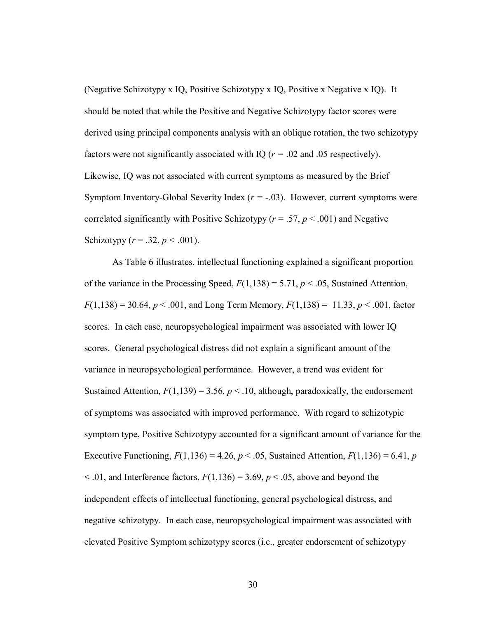(Negative Schizotypy x IQ, Positive Schizotypy x IQ, Positive x Negative x IQ). It should be noted that while the Positive and Negative Schizotypy factor scores were derived using principal components analysis with an oblique rotation, the two schizotypy factors were not significantly associated with IQ ( $r = .02$  and  $.05$  respectively). Likewise, IQ was not associated with current symptoms as measured by the Brief Symptom Inventory-Global Severity Index (*r = -*.03). However, current symptoms were correlated significantly with Positive Schizotypy ( $r = .57$ ,  $p < .001$ ) and Negative Schizotypy ( $r = .32, p < .001$ ).

As Table 6 illustrates, intellectual functioning explained a significant proportion of the variance in the Processing Speed,  $F(1,138) = 5.71$ ,  $p < .05$ , Sustained Attention,  $F(1,138) = 30.64, p < .001$ , and Long Term Memory,  $F(1,138) = 11.33, p < .001$ , factor scores. In each case, neuropsychological impairment was associated with lower IQ scores. General psychological distress did not explain a significant amount of the variance in neuropsychological performance. However, a trend was evident for Sustained Attention,  $F(1,139) = 3.56$ ,  $p < 10$ , although, paradoxically, the endorsement of symptoms was associated with improved performance. With regard to schizotypic symptom type, Positive Schizotypy accounted for a significant amount of variance for the Executive Functioning,  $F(1,136) = 4.26$ ,  $p < .05$ , Sustained Attention,  $F(1,136) = 6.41$ , *p*  $\leq$  .01, and Interference factors,  $F(1,136) = 3.69$ ,  $p \leq$  .05, above and beyond the independent effects of intellectual functioning, general psychological distress, and negative schizotypy. In each case, neuropsychological impairment was associated with elevated Positive Symptom schizotypy scores (i.e., greater endorsement of schizotypy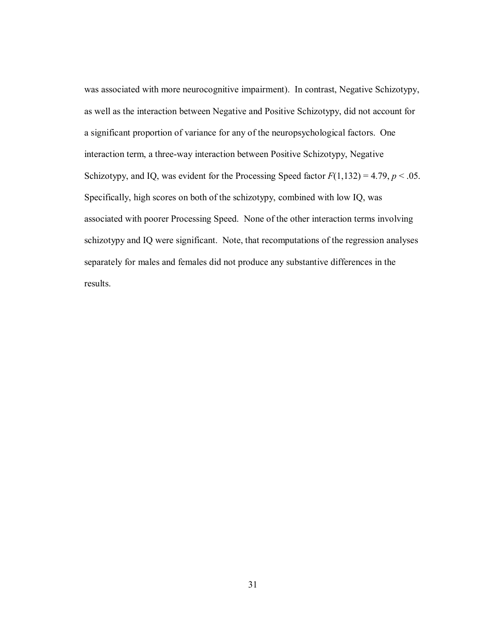was associated with more neurocognitive impairment). In contrast, Negative Schizotypy, as well as the interaction between Negative and Positive Schizotypy, did not account for a significant proportion of variance for any of the neuropsychological factors. One interaction term, a three-way interaction between Positive Schizotypy, Negative Schizotypy, and IQ, was evident for the Processing Speed factor  $F(1,132) = 4.79$ ,  $p < .05$ . Specifically, high scores on both of the schizotypy, combined with low IQ, was associated with poorer Processing Speed. None of the other interaction terms involving schizotypy and IQ were significant. Note, that recomputations of the regression analyses separately for males and females did not produce any substantive differences in the results.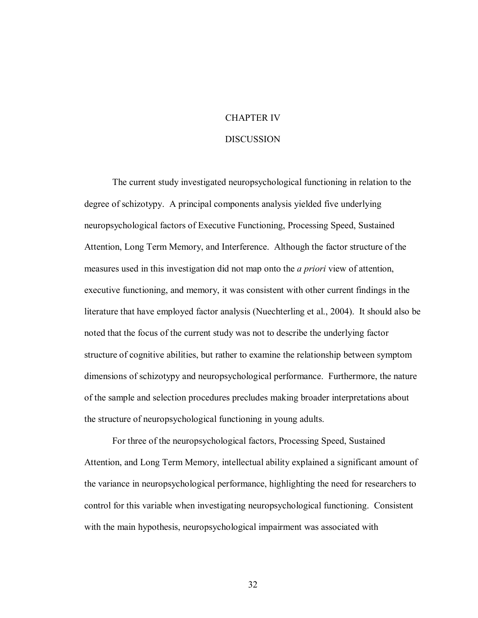## CHAPTER IV

#### **DISCUSSION**

 The current study investigated neuropsychological functioning in relation to the degree of schizotypy. A principal components analysis yielded five underlying neuropsychological factors of Executive Functioning, Processing Speed, Sustained Attention, Long Term Memory, and Interference. Although the factor structure of the measures used in this investigation did not map onto the *a priori* view of attention, executive functioning, and memory, it was consistent with other current findings in the literature that have employed factor analysis (Nuechterling et al., 2004). It should also be noted that the focus of the current study was not to describe the underlying factor structure of cognitive abilities, but rather to examine the relationship between symptom dimensions of schizotypy and neuropsychological performance. Furthermore, the nature of the sample and selection procedures precludes making broader interpretations about the structure of neuropsychological functioning in young adults.

For three of the neuropsychological factors, Processing Speed, Sustained Attention, and Long Term Memory, intellectual ability explained a significant amount of the variance in neuropsychological performance, highlighting the need for researchers to control for this variable when investigating neuropsychological functioning. Consistent with the main hypothesis, neuropsychological impairment was associated with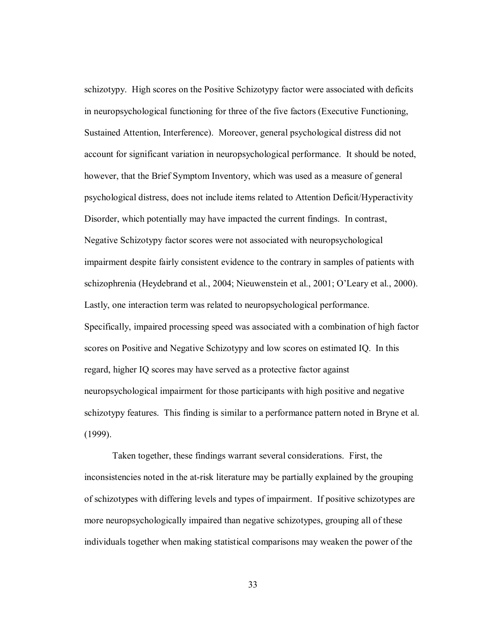schizotypy. High scores on the Positive Schizotypy factor were associated with deficits in neuropsychological functioning for three of the five factors (Executive Functioning, Sustained Attention, Interference). Moreover, general psychological distress did not account for significant variation in neuropsychological performance. It should be noted, however, that the Brief Symptom Inventory, which was used as a measure of general psychological distress, does not include items related to Attention Deficit/Hyperactivity Disorder, which potentially may have impacted the current findings. In contrast, Negative Schizotypy factor scores were not associated with neuropsychological impairment despite fairly consistent evidence to the contrary in samples of patients with schizophrenia (Heydebrand et al., 2004; Nieuwenstein et al., 2001; O'Leary et al., 2000). Lastly, one interaction term was related to neuropsychological performance. Specifically, impaired processing speed was associated with a combination of high factor scores on Positive and Negative Schizotypy and low scores on estimated IQ. In this regard, higher IQ scores may have served as a protective factor against neuropsychological impairment for those participants with high positive and negative schizotypy features. This finding is similar to a performance pattern noted in Bryne et al. (1999).

Taken together, these findings warrant several considerations. First, the inconsistencies noted in the at-risk literature may be partially explained by the grouping of schizotypes with differing levels and types of impairment. If positive schizotypes are more neuropsychologically impaired than negative schizotypes, grouping all of these individuals together when making statistical comparisons may weaken the power of the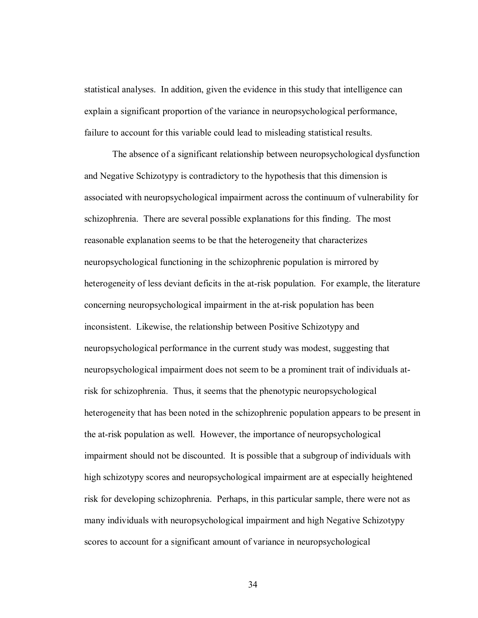statistical analyses. In addition, given the evidence in this study that intelligence can explain a significant proportion of the variance in neuropsychological performance, failure to account for this variable could lead to misleading statistical results.

The absence of a significant relationship between neuropsychological dysfunction and Negative Schizotypy is contradictory to the hypothesis that this dimension is associated with neuropsychological impairment across the continuum of vulnerability for schizophrenia. There are several possible explanations for this finding. The most reasonable explanation seems to be that the heterogeneity that characterizes neuropsychological functioning in the schizophrenic population is mirrored by heterogeneity of less deviant deficits in the at-risk population. For example, the literature concerning neuropsychological impairment in the at-risk population has been inconsistent. Likewise, the relationship between Positive Schizotypy and neuropsychological performance in the current study was modest, suggesting that neuropsychological impairment does not seem to be a prominent trait of individuals atrisk for schizophrenia. Thus, it seems that the phenotypic neuropsychological heterogeneity that has been noted in the schizophrenic population appears to be present in the at-risk population as well. However, the importance of neuropsychological impairment should not be discounted. It is possible that a subgroup of individuals with high schizotypy scores and neuropsychological impairment are at especially heightened risk for developing schizophrenia. Perhaps, in this particular sample, there were not as many individuals with neuropsychological impairment and high Negative Schizotypy scores to account for a significant amount of variance in neuropsychological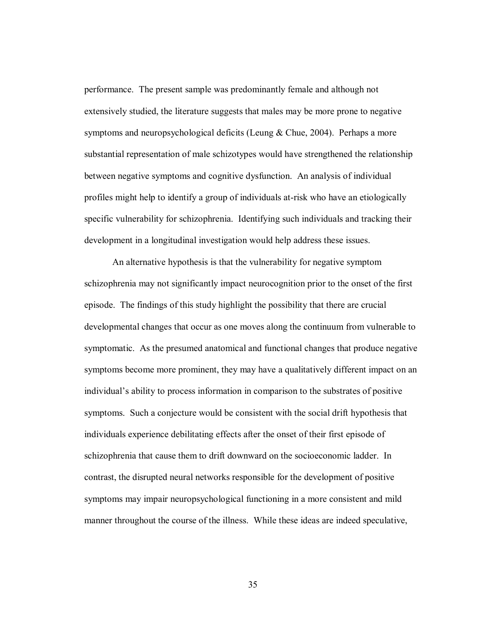performance. The present sample was predominantly female and although not extensively studied, the literature suggests that males may be more prone to negative symptoms and neuropsychological deficits (Leung & Chue, 2004). Perhaps a more substantial representation of male schizotypes would have strengthened the relationship between negative symptoms and cognitive dysfunction. An analysis of individual profiles might help to identify a group of individuals at-risk who have an etiologically specific vulnerability for schizophrenia. Identifying such individuals and tracking their development in a longitudinal investigation would help address these issues.

An alternative hypothesis is that the vulnerability for negative symptom schizophrenia may not significantly impact neurocognition prior to the onset of the first episode. The findings of this study highlight the possibility that there are crucial developmental changes that occur as one moves along the continuum from vulnerable to symptomatic. As the presumed anatomical and functional changes that produce negative symptoms become more prominent, they may have a qualitatively different impact on an individual's ability to process information in comparison to the substrates of positive symptoms. Such a conjecture would be consistent with the social drift hypothesis that individuals experience debilitating effects after the onset of their first episode of schizophrenia that cause them to drift downward on the socioeconomic ladder. In contrast, the disrupted neural networks responsible for the development of positive symptoms may impair neuropsychological functioning in a more consistent and mild manner throughout the course of the illness. While these ideas are indeed speculative,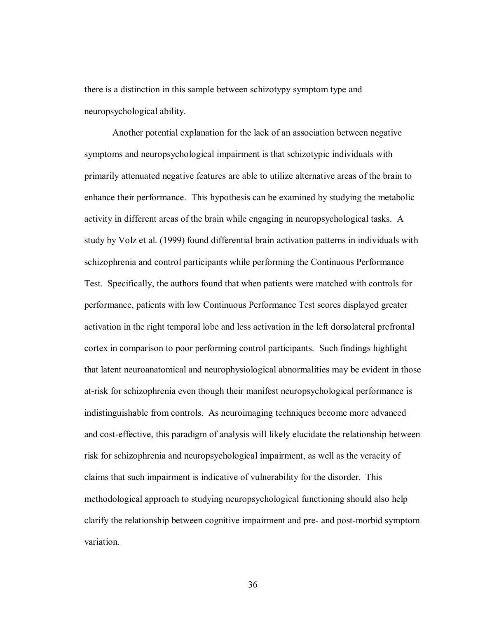there is a distinction in this sample between schizotypy symptom type and neuropsychological ability.

Another potential explanation for the lack of an association between negative symptoms and neuropsychological impairment is that schizotypic individuals with primarily attenuated negative features are able to utilize alternative areas of the brain to enhance their performance. This hypothesis can be examined by studying the metabolic activity in different areas of the brain while engaging in neuropsychological tasks. A study by Volz et al. (1999) found differential brain activation patterns in individuals with schizophrenia and control participants while performing the Continuous Performance Test. Specifically, the authors found that when patients were matched with controls for performance, patients with low Continuous Performance Test scores displayed greater activation in the right temporal lobe and less activation in the left dorsolateral prefrontal cortex in comparison to poor performing control participants. Such findings highlight that latent neuroanatomical and neurophysiological abnormalities may be evident in those at-risk for schizophrenia even though their manifest neuropsychological performance is indistinguishable from controls. As neuroimaging techniques become more advanced and cost-effective, this paradigm of analysis will likely elucidate the relationship between risk for schizophrenia and neuropsychological impairment, as well as the veracity of claims that such impairment is indicative of vulnerability for the disorder. This methodological approach to studying neuropsychological functioning should also help clarify the relationship between cognitive impairment and pre- and post-morbid symptom variation.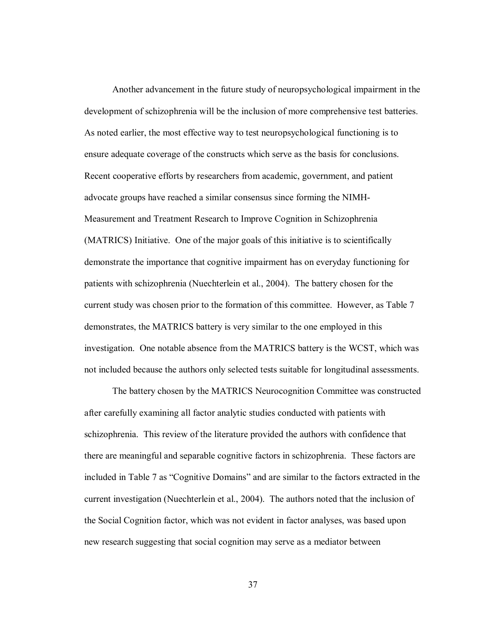Another advancement in the future study of neuropsychological impairment in the development of schizophrenia will be the inclusion of more comprehensive test batteries. As noted earlier, the most effective way to test neuropsychological functioning is to ensure adequate coverage of the constructs which serve as the basis for conclusions. Recent cooperative efforts by researchers from academic, government, and patient advocate groups have reached a similar consensus since forming the NIMH-Measurement and Treatment Research to Improve Cognition in Schizophrenia (MATRICS) Initiative. One of the major goals of this initiative is to scientifically demonstrate the importance that cognitive impairment has on everyday functioning for patients with schizophrenia (Nuechterlein et al., 2004). The battery chosen for the current study was chosen prior to the formation of this committee. However, as Table 7 demonstrates, the MATRICS battery is very similar to the one employed in this investigation. One notable absence from the MATRICS battery is the WCST, which was not included because the authors only selected tests suitable for longitudinal assessments.

The battery chosen by the MATRICS Neurocognition Committee was constructed after carefully examining all factor analytic studies conducted with patients with schizophrenia. This review of the literature provided the authors with confidence that there are meaningful and separable cognitive factors in schizophrenia. These factors are included in Table 7 as "Cognitive Domains" and are similar to the factors extracted in the current investigation (Nuechterlein et al., 2004). The authors noted that the inclusion of the Social Cognition factor, which was not evident in factor analyses, was based upon new research suggesting that social cognition may serve as a mediator between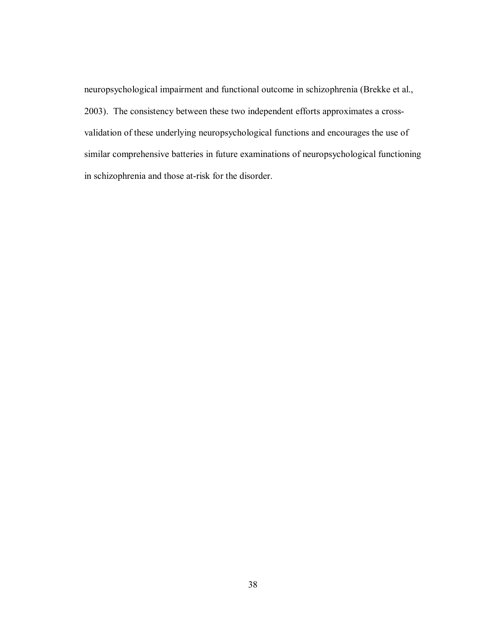neuropsychological impairment and functional outcome in schizophrenia (Brekke et al., 2003). The consistency between these two independent efforts approximates a crossvalidation of these underlying neuropsychological functions and encourages the use of similar comprehensive batteries in future examinations of neuropsychological functioning in schizophrenia and those at-risk for the disorder.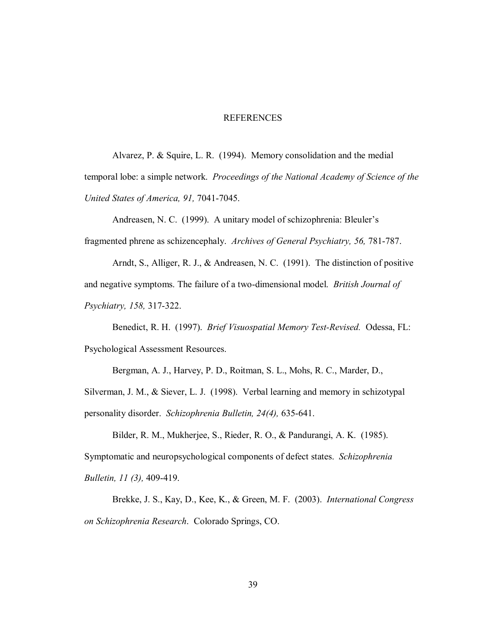#### **REFERENCES**

Alvarez, P. & Squire, L. R. (1994). Memory consolidation and the medial temporal lobe: a simple network. *Proceedings of the National Academy of Science of the United States of America, 91,* 7041-7045.

Andreasen, N. C. (1999). A unitary model of schizophrenia: Bleuler's fragmented phrene as schizencephaly. *Archives of General Psychiatry, 56,* 781-787.

Arndt, S., Alliger, R. J., & Andreasen, N. C. (1991). The distinction of positive and negative symptoms. The failure of a two-dimensional model. *British Journal of Psychiatry, 158,* 317-322.

Benedict, R. H. (1997). *Brief Visuospatial Memory Test-Revised.* Odessa, FL: Psychological Assessment Resources.

Bergman, A. J., Harvey, P. D., Roitman, S. L., Mohs, R. C., Marder, D.,

Silverman, J. M., & Siever, L. J. (1998). Verbal learning and memory in schizotypal personality disorder. *Schizophrenia Bulletin, 24(4),* 635-641.

Bilder, R. M., Mukherjee, S., Rieder, R. O., & Pandurangi, A. K. (1985). Symptomatic and neuropsychological components of defect states. *Schizophrenia Bulletin, 11 (3),* 409-419.

Brekke, J. S., Kay, D., Kee, K., & Green, M. F. (2003). *International Congress on Schizophrenia Research*. Colorado Springs, CO.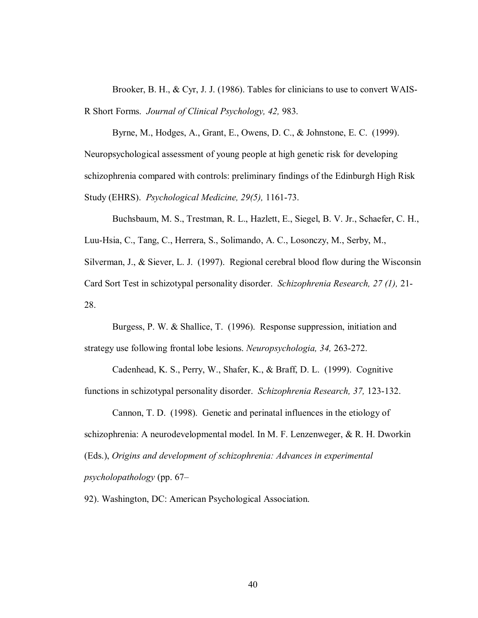Brooker, B. H., & Cyr, J. J. (1986). Tables for clinicians to use to convert WAIS-R Short Forms. *Journal of Clinical Psychology, 42,* 983.

Byrne, M., Hodges, A., Grant, E., Owens, D. C., & Johnstone, E. C. (1999). Neuropsychological assessment of young people at high genetic risk for developing schizophrenia compared with controls: preliminary findings of the Edinburgh High Risk Study (EHRS). *Psychological Medicine, 29(5),* 1161-73.

Buchsbaum, M. S., Trestman, R. L., Hazlett, E., Siegel, B. V. Jr., Schaefer, C. H., Luu-Hsia, C., Tang, C., Herrera, S., Solimando, A. C., Losonczy, M., Serby, M., Silverman, J., & Siever, L. J. (1997). Regional cerebral blood flow during the Wisconsin Card Sort Test in schizotypal personality disorder. *Schizophrenia Research, 27 (1),* 21- 28.

Burgess, P. W. & Shallice, T. (1996). Response suppression, initiation and strategy use following frontal lobe lesions. *Neuropsychologia, 34,* 263-272.

Cadenhead, K. S., Perry, W., Shafer, K., & Braff, D. L. (1999). Cognitive functions in schizotypal personality disorder. *Schizophrenia Research, 37,* 123-132.

Cannon, T. D. (1998). Genetic and perinatal influences in the etiology of schizophrenia: A neurodevelopmental model. In M. F. Lenzenweger, & R. H. Dworkin (Eds.), *Origins and development of schizophrenia: Advances in experimental psycholopathology* (pp. 67–

92). Washington, DC: American Psychological Association.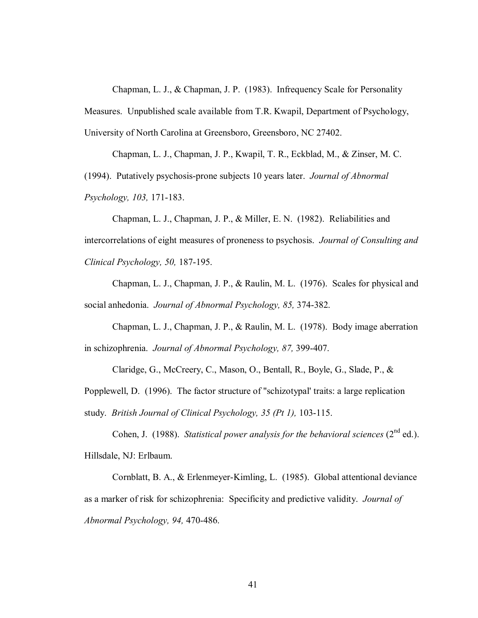Chapman, L. J., & Chapman, J. P. (1983). Infrequency Scale for Personality

Measures. Unpublished scale available from T.R. Kwapil, Department of Psychology,

University of North Carolina at Greensboro, Greensboro, NC 27402.

Chapman, L. J., Chapman, J. P., Kwapil, T. R., Eckblad, M., & Zinser, M. C.

(1994). Putatively psychosis-prone subjects 10 years later. *Journal of Abnormal Psychology, 103,* 171-183.

Chapman, L. J., Chapman, J. P., & Miller, E. N. (1982). Reliabilities and intercorrelations of eight measures of proneness to psychosis. *Journal of Consulting and Clinical Psychology, 50,* 187-195.

Chapman, L. J., Chapman, J. P., & Raulin, M. L. (1976). Scales for physical and social anhedonia. *Journal of Abnormal Psychology, 85,* 374-382.

Chapman, L. J., Chapman, J. P., & Raulin, M. L. (1978). Body image aberration in schizophrenia. *Journal of Abnormal Psychology, 87,* 399-407.

Claridge, G., McCreery, C., Mason, O., Bentall, R., Boyle, G., Slade, P., &

Popplewell, D. (1996). The factor structure of "schizotypal' traits: a large replication study. *British Journal of Clinical Psychology, 35 (Pt 1),* 103-115.

Cohen, J. (1988). *Statistical power analysis for the behavioral sciences*  $(2^{nd}$  ed.). Hillsdale, NJ: Erlbaum.

Cornblatt, B. A., & Erlenmeyer-Kimling, L. (1985). Global attentional deviance as a marker of risk for schizophrenia: Specificity and predictive validity. *Journal of Abnormal Psychology, 94,* 470-486.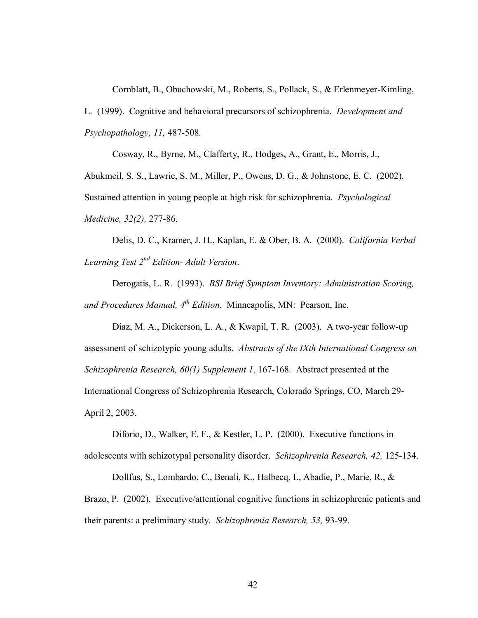Cornblatt, B., Obuchowski, M., Roberts, S., Pollack, S., & Erlenmeyer-Kimling, L. (1999). Cognitive and behavioral precursors of schizophrenia. *Development and Psychopathology, 11,* 487-508.

Cosway, R., Byrne, M., Clafferty, R., Hodges, A., Grant, E., Morris, J., Abukmeil, S. S., Lawrie, S. M., Miller, P., Owens, D. G., & Johnstone, E. C. (2002). Sustained attention in young people at high risk for schizophrenia. *Psychological Medicine, 32(2),* 277-86.

Delis, D. C., Kramer, J. H., Kaplan, E. & Ober, B. A. (2000). *California Verbal Learning Test 2nd Edition- Adult Version*.

Derogatis, L. R. (1993). *BSI Brief Symptom Inventory: Administration Scoring, and Procedures Manual, 4th Edition*. Minneapolis, MN: Pearson, Inc.

Diaz, M. A., Dickerson, L. A., & Kwapil, T. R. (2003). A two-year follow-up assessment of schizotypic young adults. *Abstracts of the IXth International Congress on Schizophrenia Research, 60(1) Supplement 1*, 167-168. Abstract presented at the International Congress of Schizophrenia Research, Colorado Springs, CO, March 29- April 2, 2003.

Diforio, D., Walker, E. F., & Kestler, L. P. (2000). Executive functions in adolescents with schizotypal personality disorder. *Schizophrenia Research, 42,* 125-134.

Dollfus, S., Lombardo, C., Benali, K., Halbecq, I., Abadie, P., Marie, R., & Brazo, P. (2002). Executive/attentional cognitive functions in schizophrenic patients and

their parents: a preliminary study. *Schizophrenia Research, 53,* 93-99.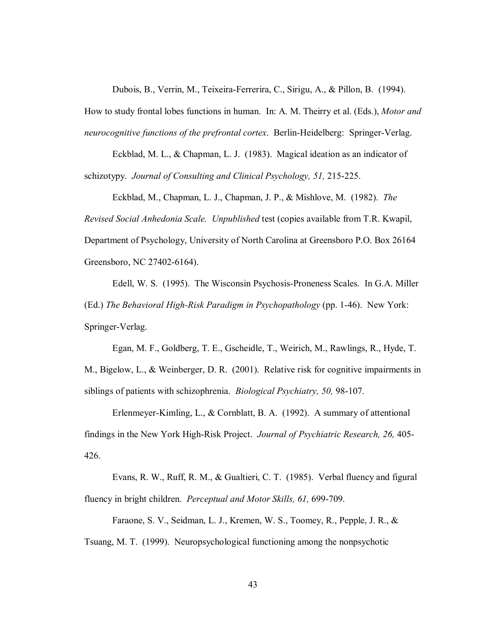Dubois, B., Verrin, M., Teixeira-Ferrerira, C., Sirigu, A., & Pillon, B. (1994).

How to study frontal lobes functions in human. In: A. M. Theirry et al. (Eds.), *Motor and neurocognitive functions of the prefrontal cortex*. Berlin-Heidelberg: Springer-Verlag.

Eckblad, M. L., & Chapman, L. J. (1983). Magical ideation as an indicator of schizotypy. *Journal of Consulting and Clinical Psychology, 51,* 215-225.

Eckblad, M., Chapman, L. J., Chapman, J. P., & Mishlove, M. (1982). *The Revised Social Anhedonia Scale. Unpublished* test (copies available from T.R. Kwapil, Department of Psychology, University of North Carolina at Greensboro P.O. Box 26164 Greensboro, NC 27402-6164).

Edell, W. S. (1995). The Wisconsin Psychosis-Proneness Scales. In G.A. Miller (Ed.) *The Behavioral High-Risk Paradigm in Psychopathology* (pp. 1-46). New York: Springer-Verlag.

Egan, M. F., Goldberg, T. E., Gscheidle, T., Weirich, M., Rawlings, R., Hyde, T. M., Bigelow, L., & Weinberger, D. R. (2001). Relative risk for cognitive impairments in siblings of patients with schizophrenia. *Biological Psychiatry, 50,* 98-107.

Erlenmeyer-Kimling, L., & Cornblatt, B. A. (1992). A summary of attentional findings in the New York High-Risk Project. *Journal of Psychiatric Research, 26,* 405- 426.

Evans, R. W., Ruff, R. M., & Gualtieri, C. T. (1985). Verbal fluency and figural fluency in bright children. *Perceptual and Motor Skills, 61,* 699-709.

Faraone, S. V., Seidman, L. J., Kremen, W. S., Toomey, R., Pepple, J. R., & Tsuang, M. T. (1999). Neuropsychological functioning among the nonpsychotic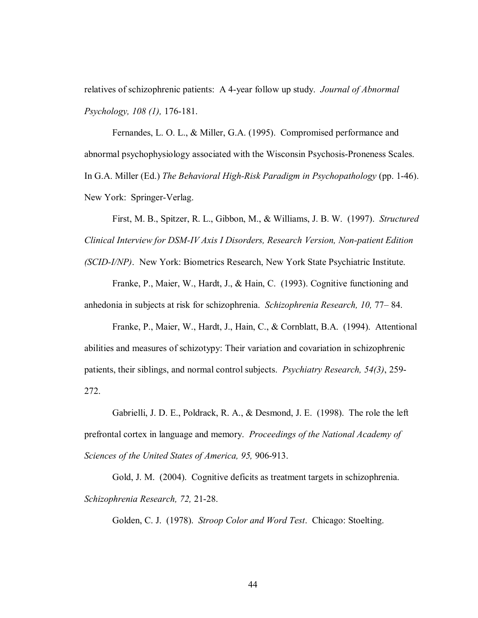relatives of schizophrenic patients: A 4-year follow up study. *Journal of Abnormal Psychology, 108 (1),* 176-181.

Fernandes, L. O. L., & Miller, G.A. (1995). Compromised performance and abnormal psychophysiology associated with the Wisconsin Psychosis-Proneness Scales. In G.A. Miller (Ed.) *The Behavioral High-Risk Paradigm in Psychopathology* (pp. 1-46). New York: Springer-Verlag.

First, M. B., Spitzer, R. L., Gibbon, M., & Williams, J. B. W. (1997). *Structured Clinical Interview for DSM-IV Axis I Disorders, Research Version, Non-patient Edition* 

*(SCID-I/NP)*. New York: Biometrics Research, New York State Psychiatric Institute.

Franke, P., Maier, W., Hardt, J., & Hain, C. (1993). Cognitive functioning and anhedonia in subjects at risk for schizophrenia. *Schizophrenia Research, 10,* 77– 84.

Franke, P., Maier, W., Hardt, J., Hain, C., & Cornblatt, B.A. (1994). Attentional abilities and measures of schizotypy: Their variation and covariation in schizophrenic patients, their siblings, and normal control subjects. *Psychiatry Research, 54(3)*, 259- 272.

Gabrielli, J. D. E., Poldrack, R. A., & Desmond, J. E. (1998). The role the left prefrontal cortex in language and memory. *Proceedings of the National Academy of Sciences of the United States of America, 95,* 906-913.

Gold, J. M. (2004). Cognitive deficits as treatment targets in schizophrenia. *Schizophrenia Research, 72,* 21-28.

Golden, C. J. (1978). *Stroop Color and Word Test*. Chicago: Stoelting.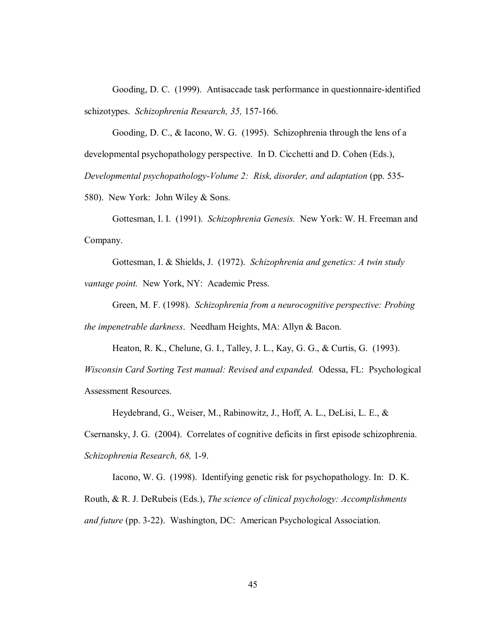Gooding, D. C. (1999). Antisaccade task performance in questionnaire-identified schizotypes. *Schizophrenia Research, 35,* 157-166.

Gooding, D. C., & Iacono, W. G. (1995). Schizophrenia through the lens of a developmental psychopathology perspective. In D. Cicchetti and D. Cohen (Eds.), *Developmental psychopathology-Volume 2: Risk, disorder, and adaptation* (pp. 535- 580). New York: John Wiley & Sons.

Gottesman, I. I. (1991). *Schizophrenia Genesis.* New York: W. H. Freeman and Company.

Gottesman, I. & Shields, J. (1972). *Schizophrenia and genetics: A twin study vantage point.* New York, NY: Academic Press.

Green, M. F. (1998). *Schizophrenia from a neurocognitive perspective: Probing the impenetrable darkness*.Needham Heights, MA: Allyn & Bacon.

Heaton, R. K., Chelune, G. I., Talley, J. L., Kay, G. G., & Curtis, G. (1993).

*Wisconsin Card Sorting Test manual: Revised and expanded.* Odessa, FL: Psychological Assessment Resources.

Heydebrand, G., Weiser, M., Rabinowitz, J., Hoff, A. L., DeLisi, L. E., &

Csernansky, J. G. (2004). Correlates of cognitive deficits in first episode schizophrenia. *Schizophrenia Research, 68,* 1-9.

Iacono, W. G. (1998). Identifying genetic risk for psychopathology. In: D. K.

Routh, & R. J. DeRubeis (Eds.), *The science of clinical psychology: Accomplishments and future* (pp. 3-22). Washington, DC: American Psychological Association.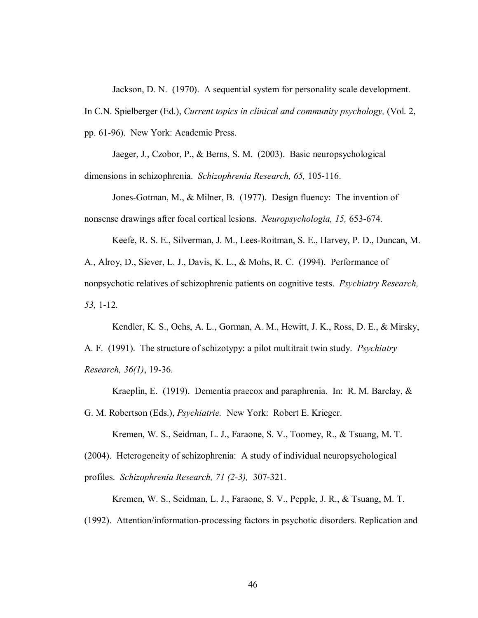Jackson, D. N. (1970). A sequential system for personality scale development.

In C.N. Spielberger (Ed.), *Current topics in clinical and community psychology,* (Vol. 2, pp. 61-96). New York: Academic Press.

Jaeger, J., Czobor, P., & Berns, S. M. (2003). Basic neuropsychological dimensions in schizophrenia. *Schizophrenia Research, 65,* 105-116.

Jones-Gotman, M., & Milner, B. (1977). Design fluency: The invention of nonsense drawings after focal cortical lesions. *Neuropsychologia, 15,* 653-674.

Keefe, R. S. E., Silverman, J. M., Lees-Roitman, S. E., Harvey, P. D., Duncan, M. A., Alroy, D., Siever, L. J., Davis, K. L., & Mohs, R. C. (1994). Performance of nonpsychotic relatives of schizophrenic patients on cognitive tests. *Psychiatry Research, 53,* 1-12.

Kendler, K. S., Ochs, A. L., Gorman, A. M., Hewitt, J. K., Ross, D. E., & Mirsky, A. F. (1991). The structure of schizotypy: a pilot multitrait twin study. *Psychiatry Research, 36(1)*, 19-36.

Kraeplin, E. (1919). Dementia praecox and paraphrenia. In: R. M. Barclay, & G. M. Robertson (Eds.), *Psychiatrie.* New York: Robert E. Krieger.

Kremen, W. S., Seidman, L. J., Faraone, S. V., Toomey, R., & Tsuang, M. T.

(2004). Heterogeneity of schizophrenia: A study of individual neuropsychological profiles. *Schizophrenia Research, 71 (2-3),* 307-321.

Kremen, W. S., Seidman, L. J., Faraone, S. V., Pepple, J. R., & Tsuang, M. T. (1992). Attention/information-processing factors in psychotic disorders. Replication and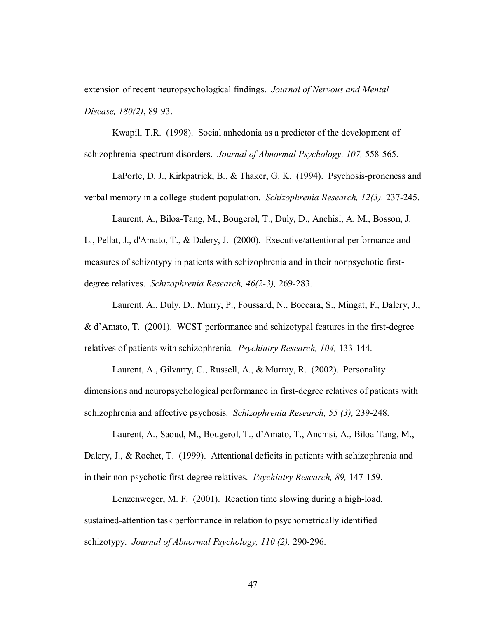extension of recent neuropsychological findings. *Journal of Nervous and Mental Disease, 180(2)*, 89-93.

Kwapil, T.R. (1998). Social anhedonia as a predictor of the development of schizophrenia-spectrum disorders. *Journal of Abnormal Psychology, 107,* 558-565.

LaPorte, D. J., Kirkpatrick, B., & Thaker, G. K. (1994). Psychosis-proneness and verbal memory in a college student population. *Schizophrenia Research, 12(3),* 237-245.

Laurent, A., Biloa-Tang, M., Bougerol, T., Duly, D., Anchisi, A. M., Bosson, J. L., Pellat, J., d'Amato, T., & Dalery, J. (2000). Executive/attentional performance and measures of schizotypy in patients with schizophrenia and in their nonpsychotic firstdegree relatives. *Schizophrenia Research, 46(2-3),* 269-283.

Laurent, A., Duly, D., Murry, P., Foussard, N., Boccara, S., Mingat, F., Dalery, J., & d'Amato, T. (2001). WCST performance and schizotypal features in the first-degree relatives of patients with schizophrenia. *Psychiatry Research, 104,* 133-144.

Laurent, A., Gilvarry, C., Russell, A., & Murray, R. (2002). Personality dimensions and neuropsychological performance in first-degree relatives of patients with schizophrenia and affective psychosis. *Schizophrenia Research, 55 (3),* 239-248.

Laurent, A., Saoud, M., Bougerol, T., d'Amato, T., Anchisi, A., Biloa-Tang, M., Dalery, J., & Rochet, T. (1999). Attentional deficits in patients with schizophrenia and in their non-psychotic first-degree relatives. *Psychiatry Research, 89,* 147-159.

Lenzenweger, M. F. (2001). Reaction time slowing during a high-load, sustained-attention task performance in relation to psychometrically identified schizotypy. *Journal of Abnormal Psychology, 110 (2),* 290-296.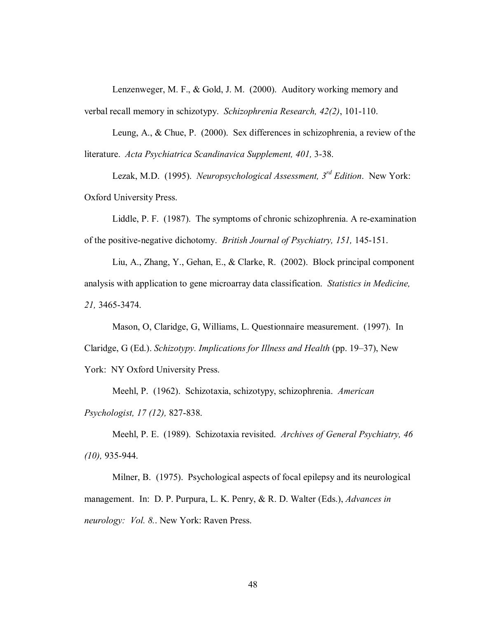Lenzenweger, M. F., & Gold, J. M. (2000). Auditory working memory and verbal recall memory in schizotypy. *Schizophrenia Research, 42(2)*, 101-110.

Leung, A., & Chue, P. (2000). Sex differences in schizophrenia, a review of the literature. *Acta Psychiatrica Scandinavica Supplement, 401,* 3-38.

Lezak, M.D. (1995). *Neuropsychological Assessment, 3rd Edition*. New York: Oxford University Press.

Liddle, P. F. (1987). The symptoms of chronic schizophrenia. A re-examination of the positive-negative dichotomy. *British Journal of Psychiatry, 151,* 145-151.

Liu, A., Zhang, Y., Gehan, E., & Clarke, R. (2002). Block principal component analysis with application to gene microarray data classification. *Statistics in Medicine, 21,* 3465-3474.

Mason, O, Claridge, G, Williams, L. Questionnaire measurement. (1997). In Claridge, G (Ed.). *Schizotypy. Implications for Illness and Health* (pp. 19–37), New

York: NY Oxford University Press.

Meehl, P. (1962). Schizotaxia, schizotypy, schizophrenia. *American Psychologist, 17 (12),* 827-838.

Meehl, P. E. (1989). Schizotaxia revisited. *Archives of General Psychiatry, 46 (10),* 935-944.

Milner, B. (1975). Psychological aspects of focal epilepsy and its neurological management. In: D. P. Purpura, L. K. Penry, & R. D. Walter (Eds.), *Advances in neurology: Vol. 8.*. New York: Raven Press.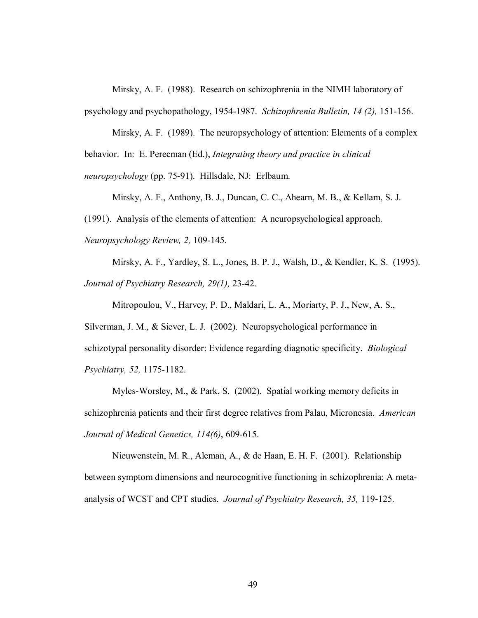Mirsky, A. F. (1988). Research on schizophrenia in the NIMH laboratory of psychology and psychopathology, 1954-1987. *Schizophrenia Bulletin, 14 (2),* 151-156.

Mirsky, A. F. (1989). The neuropsychology of attention: Elements of a complex behavior. In: E. Perecman (Ed.), *Integrating theory and practice in clinical neuropsychology* (pp. 75-91). Hillsdale, NJ: Erlbaum.

Mirsky, A. F., Anthony, B. J., Duncan, C. C., Ahearn, M. B., & Kellam, S. J.

(1991). Analysis of the elements of attention: A neuropsychological approach.

*Neuropsychology Review, 2,* 109-145.

Mirsky, A. F., Yardley, S. L., Jones, B. P. J., Walsh, D., & Kendler, K. S. (1995). *Journal of Psychiatry Research, 29(1),* 23-42.

Mitropoulou, V., Harvey, P. D., Maldari, L. A., Moriarty, P. J., New, A. S.,

Silverman, J. M., & Siever, L. J. (2002). Neuropsychological performance in schizotypal personality disorder: Evidence regarding diagnotic specificity. *Biological Psychiatry, 52,* 1175-1182.

Myles-Worsley, M., & Park, S. (2002). Spatial working memory deficits in schizophrenia patients and their first degree relatives from Palau, Micronesia. *American Journal of Medical Genetics, 114(6)*, 609-615.

Nieuwenstein, M. R., Aleman, A., & de Haan, E. H. F. (2001). Relationship between symptom dimensions and neurocognitive functioning in schizophrenia: A metaanalysis of WCST and CPT studies. *Journal of Psychiatry Research, 35,* 119-125.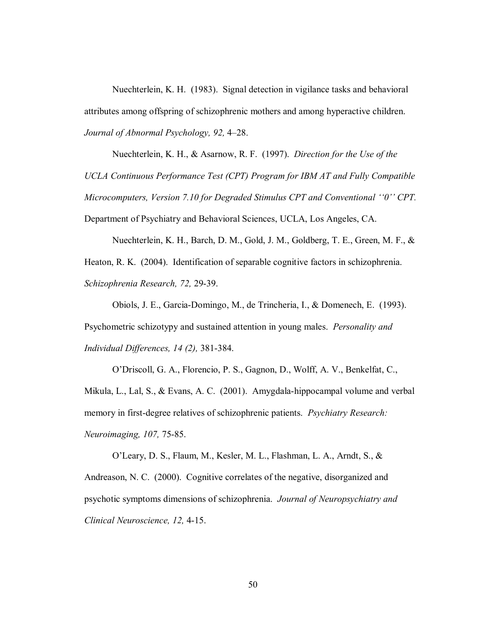Nuechterlein, K. H. (1983). Signal detection in vigilance tasks and behavioral attributes among offspring of schizophrenic mothers and among hyperactive children. *Journal of Abnormal Psychology, 92,* 4–28.

Nuechterlein, K. H., & Asarnow, R. F. (1997). *Direction for the Use of the UCLA Continuous Performance Test (CPT) Program for IBM AT and Fully Compatible Microcomputers, Version 7.10 for Degraded Stimulus CPT and Conventional ''0'' CPT.* Department of Psychiatry and Behavioral Sciences, UCLA, Los Angeles, CA.

Nuechterlein, K. H., Barch, D. M., Gold, J. M., Goldberg, T. E., Green, M. F., & Heaton, R. K. (2004). Identification of separable cognitive factors in schizophrenia. *Schizophrenia Research, 72,* 29-39.

Obiols, J. E., Garcia-Domingo, M., de Trincheria, I., & Domenech, E. (1993). Psychometric schizotypy and sustained attention in young males. *Personality and Individual Differences, 14 (2),* 381-384.

O'Driscoll, G. A., Florencio, P. S., Gagnon, D., Wolff, A. V., Benkelfat, C., Mikula, L., Lal, S., & Evans, A. C. (2001). Amygdala-hippocampal volume and verbal memory in first-degree relatives of schizophrenic patients. *Psychiatry Research: Neuroimaging, 107,* 75-85.

O'Leary, D. S., Flaum, M., Kesler, M. L., Flashman, L. A., Arndt, S., & Andreason, N. C. (2000). Cognitive correlates of the negative, disorganized and psychotic symptoms dimensions of schizophrenia. *Journal of Neuropsychiatry and Clinical Neuroscience, 12,* 4-15.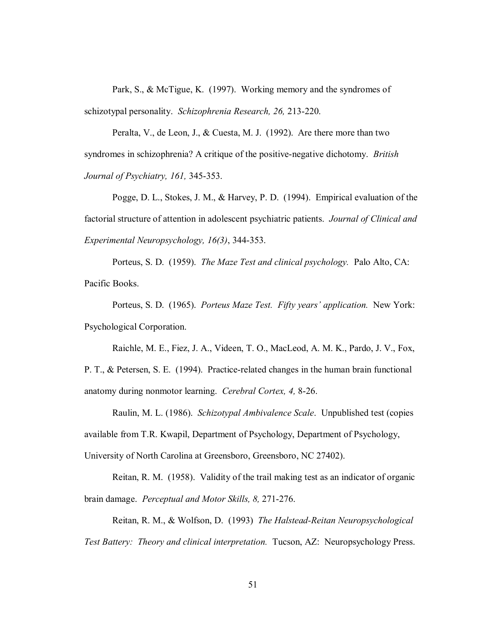Park, S., & McTigue, K. (1997). Working memory and the syndromes of schizotypal personality. *Schizophrenia Research, 26,* 213-220.

Peralta, V., de Leon, J., & Cuesta, M. J. (1992). Are there more than two syndromes in schizophrenia? A critique of the positive-negative dichotomy. *British Journal of Psychiatry, 161,* 345-353.

Pogge, D. L., Stokes, J. M., & Harvey, P. D. (1994). Empirical evaluation of the factorial structure of attention in adolescent psychiatric patients. *Journal of Clinical and Experimental Neuropsychology, 16(3)*, 344-353.

Porteus, S. D. (1959). *The Maze Test and clinical psychology.* Palo Alto, CA: Pacific Books.

 Porteus, S. D. (1965). *Porteus Maze Test. Fifty years' application.* New York: Psychological Corporation.

Raichle, M. E., Fiez, J. A., Videen, T. O., MacLeod, A. M. K., Pardo, J. V., Fox,

P. T., & Petersen, S. E. (1994). Practice-related changes in the human brain functional anatomy during nonmotor learning. *Cerebral Cortex, 4,* 8-26.

Raulin, M. L. (1986). *Schizotypal Ambivalence Scale*. Unpublished test (copies available from T.R. Kwapil, Department of Psychology, Department of Psychology, University of North Carolina at Greensboro, Greensboro, NC 27402).

Reitan, R. M. (1958). Validity of the trail making test as an indicator of organic brain damage. *Perceptual and Motor Skills, 8,* 271-276.

Reitan, R. M., & Wolfson, D. (1993) *The Halstead-Reitan Neuropsychological Test Battery: Theory and clinical interpretation.* Tucson, AZ: Neuropsychology Press.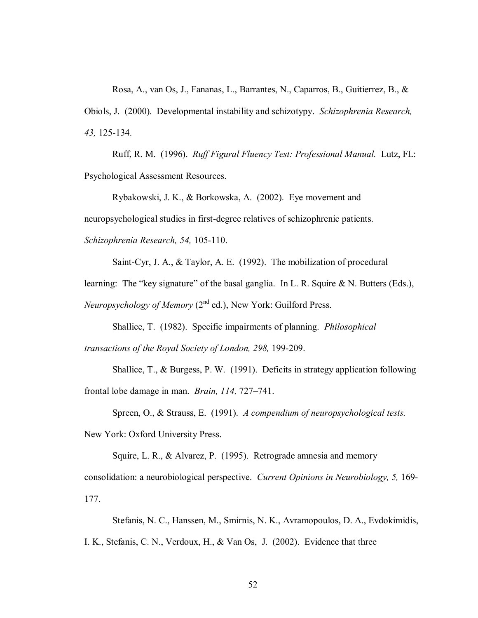Rosa, A., van Os, J., Fananas, L., Barrantes, N., Caparros, B., Guitierrez, B., & Obiols, J. (2000). Developmental instability and schizotypy. *Schizophrenia Research, 43,* 125-134.

Ruff, R. M. (1996). *Ruff Figural Fluency Test: Professional Manual.* Lutz, FL: Psychological Assessment Resources.

Rybakowski, J. K., & Borkowska, A. (2002). Eye movement and neuropsychological studies in first-degree relatives of schizophrenic patients. *Schizophrenia Research, 54,* 105-110.

Saint-Cyr, J. A., & Taylor, A. E. (1992). The mobilization of procedural learning: The "key signature" of the basal ganglia. In L. R. Squire & N. Butters (Eds.), *Neuropsychology of Memory* (2<sup>nd</sup> ed.), New York: Guilford Press.

Shallice, T. (1982). Specific impairments of planning. *Philosophical transactions of the Royal Society of London, 298,* 199-209.

Shallice, T., & Burgess, P. W. (1991). Deficits in strategy application following frontal lobe damage in man. *Brain, 114,* 727–741.

Spreen, O., & Strauss, E. (1991). *A compendium of neuropsychological tests.*  New York: Oxford University Press.

Squire, L. R., & Alvarez, P. (1995). Retrograde amnesia and memory consolidation: a neurobiological perspective. *Current Opinions in Neurobiology, 5,* 169- 177.

Stefanis, N. C., Hanssen, M., Smirnis, N. K., Avramopoulos, D. A., Evdokimidis, I. K., Stefanis, C. N., Verdoux, H., & Van Os, J. (2002). Evidence that three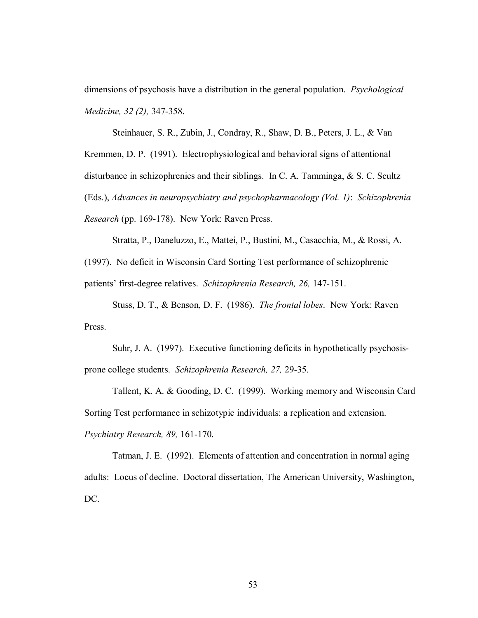dimensions of psychosis have a distribution in the general population. *Psychological Medicine, 32 (2),* 347-358.

Steinhauer, S. R., Zubin, J., Condray, R., Shaw, D. B., Peters, J. L., & Van Kremmen, D. P. (1991). Electrophysiological and behavioral signs of attentional disturbance in schizophrenics and their siblings. In C. A. Tamminga, & S. C. Scultz (Eds.), *Advances in neuropsychiatry and psychopharmacology (Vol. 1)*: *Schizophrenia Research* (pp. 169-178). New York: Raven Press.

Stratta, P., Daneluzzo, E., Mattei, P., Bustini, M., Casacchia, M., & Rossi, A.

(1997). No deficit in Wisconsin Card Sorting Test performance of schizophrenic patients' first-degree relatives. *Schizophrenia Research, 26,* 147-151.

Stuss, D. T., & Benson, D. F. (1986). *The frontal lobes*. New York: Raven Press.

Suhr, J. A. (1997). Executive functioning deficits in hypothetically psychosisprone college students. *Schizophrenia Research, 27,* 29-35.

Tallent, K. A. & Gooding, D. C. (1999). Working memory and Wisconsin Card Sorting Test performance in schizotypic individuals: a replication and extension. *Psychiatry Research, 89,* 161-170.

 Tatman, J. E. (1992). Elements of attention and concentration in normal aging adults: Locus of decline. Doctoral dissertation, The American University, Washington, DC.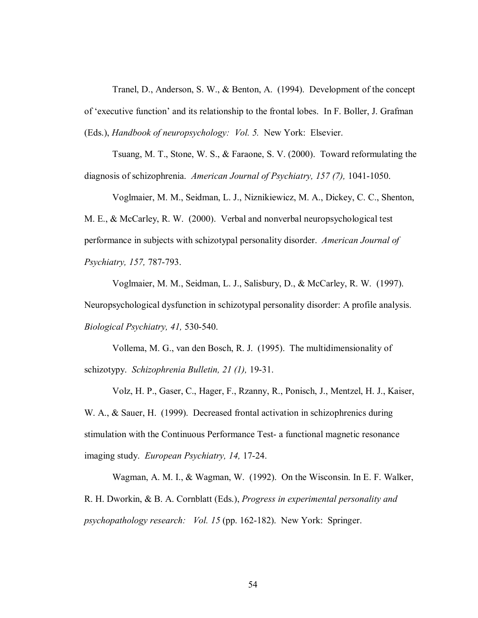Tranel, D., Anderson, S. W., & Benton, A. (1994). Development of the concept of 'executive function' and its relationship to the frontal lobes. In F. Boller, J. Grafman (Eds.), *Handbook of neuropsychology: Vol. 5.* New York: Elsevier.

Tsuang, M. T., Stone, W. S., & Faraone, S. V. (2000). Toward reformulating the diagnosis of schizophrenia. *American Journal of Psychiatry, 157 (7),* 1041-1050.

Voglmaier, M. M., Seidman, L. J., Niznikiewicz, M. A., Dickey, C. C., Shenton, M. E., & McCarley, R. W. (2000). Verbal and nonverbal neuropsychological test performance in subjects with schizotypal personality disorder. *American Journal of Psychiatry, 157,* 787-793.

Voglmaier, M. M., Seidman, L. J., Salisbury, D., & McCarley, R. W. (1997). Neuropsychological dysfunction in schizotypal personality disorder: A profile analysis. *Biological Psychiatry, 41,* 530-540.

Vollema, M. G., van den Bosch, R. J. (1995). The multidimensionality of schizotypy. *Schizophrenia Bulletin, 21 (1),* 19-31.

Volz, H. P., Gaser, C., Hager, F., Rzanny, R., Ponisch, J., Mentzel, H. J., Kaiser, W. A., & Sauer, H. (1999). Decreased frontal activation in schizophrenics during stimulation with the Continuous Performance Test- a functional magnetic resonance imaging study. *European Psychiatry, 14,* 17-24.

Wagman, A. M. I., & Wagman, W. (1992). On the Wisconsin. In E. F. Walker, R. H. Dworkin, & B. A. Cornblatt (Eds.), *Progress in experimental personality and psychopathology research: Vol. 15* (pp. 162-182). New York: Springer.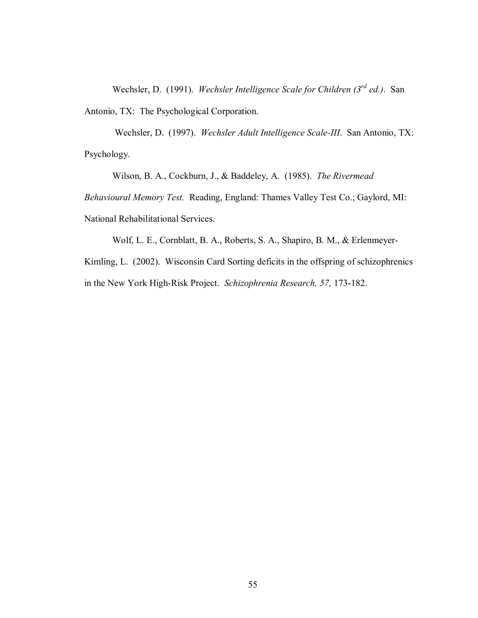Wechsler, D. (1991). *Wechsler Intelligence Scale for Children (3rd ed.)*. San Antonio, TX: The Psychological Corporation.

 Wechsler, D. (1997). *Wechsler Adult Intelligence Scale-III*. San Antonio, TX: Psychology.

Wilson, B. A., Cockburn, J., & Baddeley, A. (1985). *The Rivermead* 

*Behavioural Memory Test.* Reading, England: Thames Valley Test Co.; Gaylord, MI:

National Rehabilitational Services.

Wolf, L. E., Cornblatt, B. A., Roberts, S. A., Shapiro, B. M., & Erlenmeyer-Kimling, L. (2002). Wisconsin Card Sorting deficits in the offspring of schizophrenics in the New York High-Risk Project. *Schizophrenia Research, 57,* 173-182.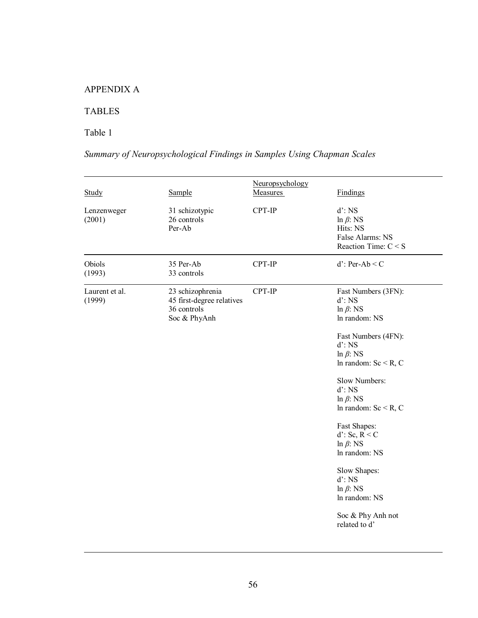### APPENDIX A

## TABLES

# Table 1

# *Summary of Neuropsychological Findings in Samples Using Chapman Scales*

| Study                    | Sample                                                                       | Neuropsychology<br><b>Measures</b> | Findings                                                                                                                                                                                                                                                                                                                                                                                           |
|--------------------------|------------------------------------------------------------------------------|------------------------------------|----------------------------------------------------------------------------------------------------------------------------------------------------------------------------------------------------------------------------------------------------------------------------------------------------------------------------------------------------------------------------------------------------|
| Lenzenweger<br>(2001)    | 31 schizotypic<br>26 controls<br>Per-Ab                                      | CPT-IP                             | $d$ : NS<br>$\ln \beta$ : NS<br>Hits: NS<br>False Alarms: NS<br>Reaction Time: $C < S$                                                                                                                                                                                                                                                                                                             |
| Obiols<br>(1993)         | 35 Per-Ab<br>33 controls                                                     | CPT-IP                             | $d'$ : Per-Ab < C                                                                                                                                                                                                                                                                                                                                                                                  |
| Laurent et al.<br>(1999) | 23 schizophrenia<br>45 first-degree relatives<br>36 controls<br>Soc & PhyAnh | CPT-IP                             | Fast Numbers (3FN):<br>$d$ : NS<br>$\ln \beta$ : NS<br>In random: NS<br>Fast Numbers (4FN):<br>$d$ : NS<br>$\ln \beta$ : NS<br>In random: $Sc < R$ , C<br>Slow Numbers:<br>$d$ : NS<br>$\ln \beta$ : NS<br>In random: $Sc < R$ , C<br>Fast Shapes:<br>$d'$ : Sc, R < C<br>$\ln \beta$ : NS<br>In random: NS<br>Slow Shapes:<br>$d$ ': NS<br>$\ln \beta$ : NS<br>In random: NS<br>Soc & Phy Anh not |
|                          |                                                                              |                                    | related to d'                                                                                                                                                                                                                                                                                                                                                                                      |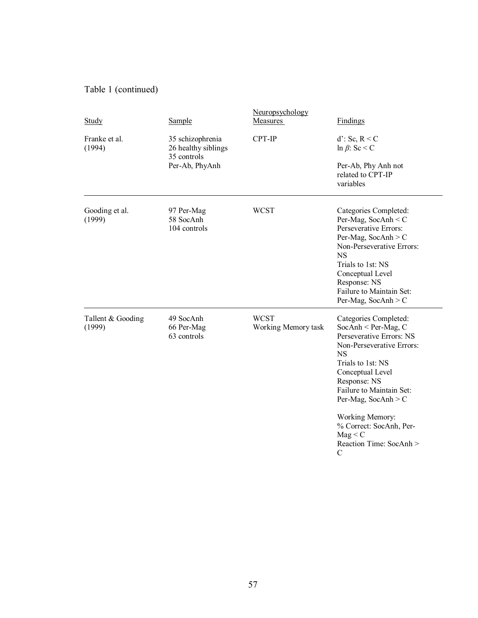# Table 1 (continued)

| Study                       | Sample                                                                   | Neuropsychology<br><b>Measures</b> | Findings                                                                                                                                                                                                                                                                                                                                |
|-----------------------------|--------------------------------------------------------------------------|------------------------------------|-----------------------------------------------------------------------------------------------------------------------------------------------------------------------------------------------------------------------------------------------------------------------------------------------------------------------------------------|
| Franke et al.<br>(1994)     | 35 schizophrenia<br>26 healthy siblings<br>35 controls<br>Per-Ab, PhyAnh | CPT-IP                             | $d'$ : Sc, R < C<br>$\ln \beta$ : Sc < C<br>Per-Ab, Phy Anh not<br>related to CPT-IP<br>variables                                                                                                                                                                                                                                       |
| Gooding et al.<br>(1999)    | 97 Per-Mag<br>58 SocAnh<br>104 controls                                  | <b>WCST</b>                        | Categories Completed:<br>Per-Mag, SocAnh $\leq C$<br>Perseverative Errors:<br>Per-Mag, SocAnh $>$ C<br>Non-Perseverative Errors:<br><b>NS</b><br>Trials to 1st: NS<br>Conceptual Level<br>Response: NS<br>Failure to Maintain Set:<br>Per-Mag, SocAnh $>$ C                                                                             |
| Tallent & Gooding<br>(1999) | 49 SocAnh<br>66 Per-Mag<br>63 controls                                   | <b>WCST</b><br>Working Memory task | Categories Completed:<br>$SocAnh <$ Per-Mag, C<br>Perseverative Errors: NS<br>Non-Perseverative Errors:<br><b>NS</b><br>Trials to 1st: NS<br>Conceptual Level<br>Response: NS<br>Failure to Maintain Set:<br>Per-Mag, SocAnh $>$ C<br>Working Memory:<br>% Correct: SocAnh, Per-<br>Mag < C<br>Reaction Time: SocAnh ><br>$\mathcal{C}$ |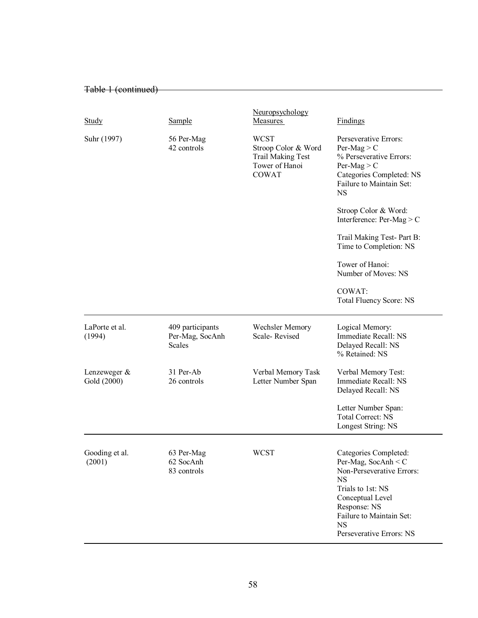| $T_0$ bla $1$ (continued)  |
|----------------------------|
| <b>Tavit I (Continueu)</b> |

| <b>Study</b>                | Sample                                               | Neuropsychology<br><b>Measures</b>                                                               | <b>Findings</b>                                                                                                                                                                                                           |
|-----------------------------|------------------------------------------------------|--------------------------------------------------------------------------------------------------|---------------------------------------------------------------------------------------------------------------------------------------------------------------------------------------------------------------------------|
| Suhr (1997)                 | 56 Per-Mag<br>42 controls                            | <b>WCST</b><br>Stroop Color & Word<br><b>Trail Making Test</b><br>Tower of Hanoi<br><b>COWAT</b> | Perseverative Errors:<br>$Per-Mag > C$<br>% Perseverative Errors:<br>$Per-Mag > C$<br>Categories Completed: NS<br>Failure to Maintain Set:<br><b>NS</b>                                                                   |
|                             |                                                      |                                                                                                  | Stroop Color & Word:<br>Interference: Per-Mag $>$ C                                                                                                                                                                       |
|                             |                                                      |                                                                                                  | Trail Making Test-Part B:<br>Time to Completion: NS                                                                                                                                                                       |
|                             |                                                      |                                                                                                  | Tower of Hanoi:<br>Number of Moves: NS                                                                                                                                                                                    |
|                             |                                                      |                                                                                                  | <b>COWAT:</b><br><b>Total Fluency Score: NS</b>                                                                                                                                                                           |
| LaPorte et al.<br>(1994)    | 409 participants<br>Per-Mag, SocAnh<br><b>Scales</b> | Wechsler Memory<br>Scale-Revised                                                                 | Logical Memory:<br>Immediate Recall: NS<br>Delayed Recall: NS<br>% Retained: NS                                                                                                                                           |
| Lenzeweger &<br>Gold (2000) | 31 Per-Ab<br>26 controls                             | Verbal Memory Task<br>Letter Number Span                                                         | Verbal Memory Test:<br>Immediate Recall: NS<br>Delayed Recall: NS                                                                                                                                                         |
|                             |                                                      |                                                                                                  | Letter Number Span:<br><b>Total Correct: NS</b><br>Longest String: NS                                                                                                                                                     |
| Gooding et al.<br>(2001)    | 63 Per-Mag<br>62 SocAnh<br>83 controls               | <b>WCST</b>                                                                                      | Categories Completed:<br>Per-Mag, SocAnh $\leq C$<br>Non-Perseverative Errors:<br><b>NS</b><br>Trials to 1st: NS<br>Conceptual Level<br>Response: NS<br>Failure to Maintain Set:<br><b>NS</b><br>Perseverative Errors: NS |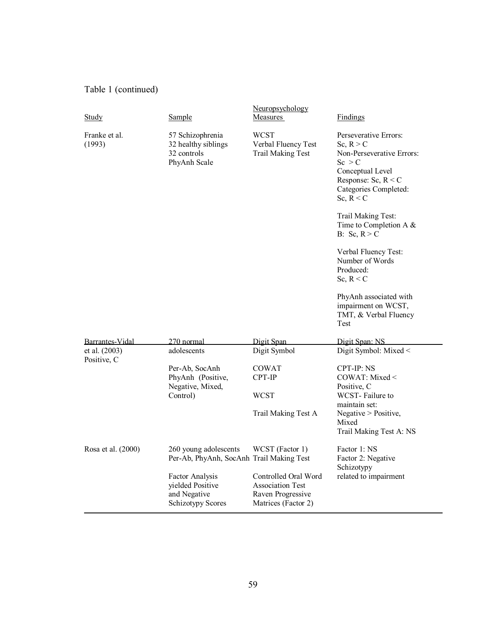## Table 1 (continued)

| Study                        | Sample                                                                 | Neuropsychology<br>Measures                                    | <b>Findings</b>                                                                                                                                                  |
|------------------------------|------------------------------------------------------------------------|----------------------------------------------------------------|------------------------------------------------------------------------------------------------------------------------------------------------------------------|
| Franke et al.<br>(1993)      | 57 Schizophrenia<br>32 healthy siblings<br>32 controls<br>PhyAnh Scale | <b>WCST</b><br>Verbal Fluency Test<br><b>Trail Making Test</b> | Perseverative Errors:<br>Sc, $R > C$<br>Non-Perseverative Errors:<br>Sc > C<br>Conceptual Level<br>Response: Sc, $R < C$<br>Categories Completed:<br>Sc, $R < C$ |
|                              |                                                                        |                                                                | Trail Making Test:<br>Time to Completion A $\&$<br>B: Sc, $R > C$                                                                                                |
|                              |                                                                        |                                                                | Verbal Fluency Test:<br>Number of Words<br>Produced:<br>Sc, $R < C$                                                                                              |
|                              |                                                                        |                                                                | PhyAnh associated with<br>impairment on WCST,<br>TMT, & Verbal Fluency<br>Test                                                                                   |
| Barrantes-Vidal              | 270 normal                                                             | Digit Span                                                     | Digit Span: NS                                                                                                                                                   |
| et al. (2003)<br>Positive, C | adolescents                                                            | Digit Symbol                                                   | Digit Symbol: Mixed <                                                                                                                                            |
|                              | Per-Ab, SocAnh                                                         | <b>COWAT</b>                                                   | CPT-IP: NS                                                                                                                                                       |
|                              | PhyAnh (Positive,<br>Negative, Mixed,                                  | CPT-IP                                                         | COWAT: Mixed <<br>Positive, C                                                                                                                                    |
|                              | Control)                                                               | <b>WCST</b>                                                    | WCST-Failure to                                                                                                                                                  |
|                              |                                                                        |                                                                | maintain set:                                                                                                                                                    |
|                              |                                                                        | Trail Making Test A                                            | Negative > Positive,<br>Mixed<br>Trail Making Test A: NS                                                                                                         |

|                    |                                                                                 |                                                                                             | Trail Making Test A. NS                          |
|--------------------|---------------------------------------------------------------------------------|---------------------------------------------------------------------------------------------|--------------------------------------------------|
| Rosa et al. (2000) | 260 young adolescents<br>Per-Ab, PhyAnh, SocAnh Trail Making Test               | WCST (Factor 1)                                                                             | Factor 1: NS<br>Factor 2: Negative<br>Schizotypy |
|                    | Factor Analysis<br>yielded Positive<br>and Negative<br><b>Schizotypy Scores</b> | Controlled Oral Word<br><b>Association Test</b><br>Raven Progressive<br>Matrices (Factor 2) | related to impairment                            |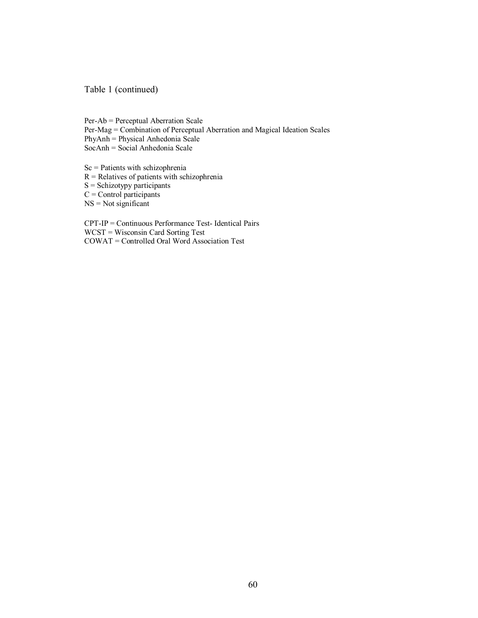Table 1 (continued)

Per-Ab = Perceptual Aberration Scale Per-Mag = Combination of Perceptual Aberration and Magical Ideation Scales PhyAnh = Physical Anhedonia Scale SocAnh = Social Anhedonia Scale

Sc = Patients with schizophrenia

 $R =$  Relatives of patients with schizophrenia

 $S =$  Schizotypy participants

 $C =$  Control participants

 $NS = Not significant$ 

CPT-IP = Continuous Performance Test- Identical Pairs WCST = Wisconsin Card Sorting Test COWAT = Controlled Oral Word Association Test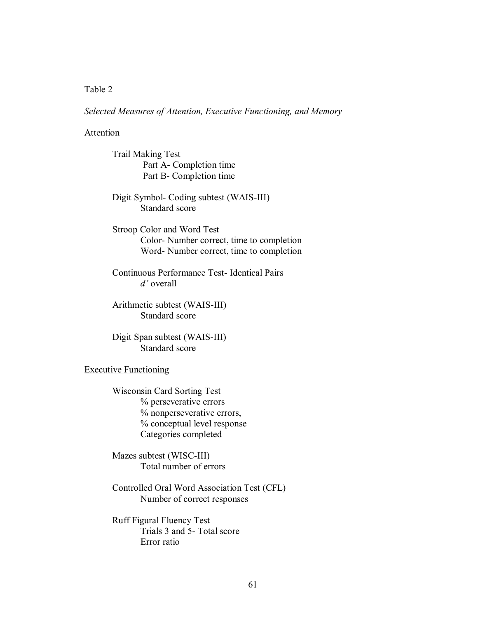#### Table 2

*Selected Measures of Attention, Executive Functioning, and Memory* 

#### **Attention**

 Trail Making Test Part A- Completion time Part B- Completion time

 Digit Symbol- Coding subtest (WAIS-III) Standard score

 Stroop Color and Word Test Color- Number correct, time to completion Word- Number correct, time to completion

 Continuous Performance Test- Identical Pairs *d'* overall

 Arithmetic subtest (WAIS-III) Standard score

 Digit Span subtest (WAIS-III) Standard score

#### Executive Functioning

 Wisconsin Card Sorting Test % perseverative errors % nonperseverative errors, % conceptual level response Categories completed

Mazes subtest (WISC-III) Total number of errors

Controlled Oral Word Association Test (CFL) Number of correct responses

 Ruff Figural Fluency Test Trials 3 and 5- Total score Error ratio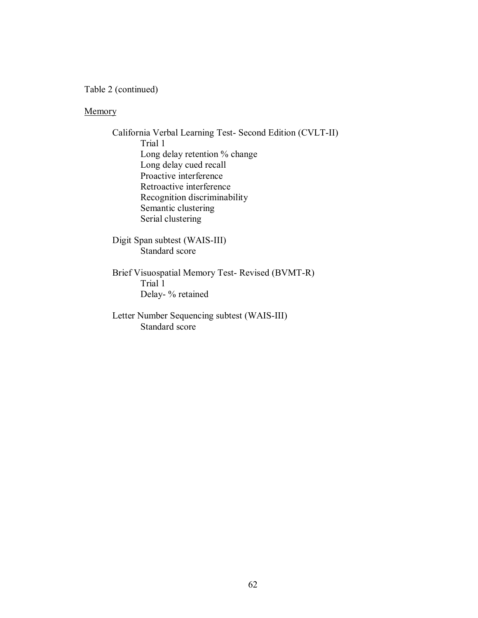Table 2 (continued)

#### **Memory**

California Verbal Learning Test- Second Edition (CVLT-II) Trial 1 Long delay retention % change Long delay cued recall Proactive interference Retroactive interference Recognition discriminability Semantic clustering Serial clustering

 Digit Span subtest (WAIS-III) Standard score

 Brief Visuospatial Memory Test- Revised (BVMT-R) Trial 1 Delay- % retained

 Letter Number Sequencing subtest (WAIS-III) Standard score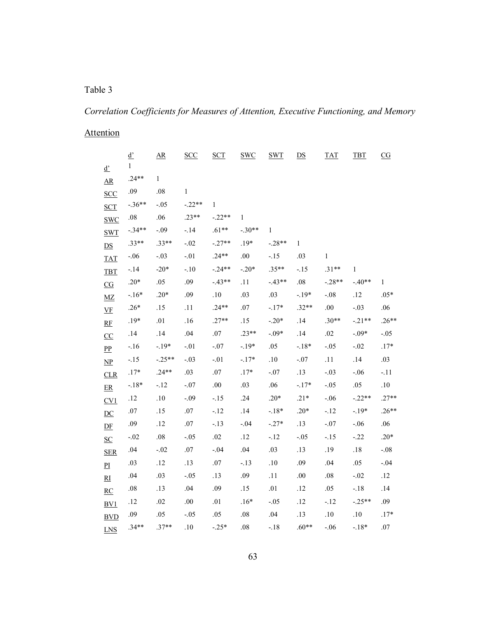# Table 3

*Correlation Coefficients for Measures of Attention, Executive Functioning, and Memory* 

Attention

|                           | <u>d'</u>    | $\underline{\text{AR}}$ | <b>SCC</b>   | <b>SCT</b>   | <b>SWC</b>   | <b>SWT</b>   | DS           | <b>TAT</b>   | <b>TBT</b> | $\underline{\text{CG}}$ |
|---------------------------|--------------|-------------------------|--------------|--------------|--------------|--------------|--------------|--------------|------------|-------------------------|
| $\underline{d}$           | $\mathbf{1}$ |                         |              |              |              |              |              |              |            |                         |
| $\underline{AR}$          | $.24**$      | 1                       |              |              |              |              |              |              |            |                         |
| <b>SCC</b>                | .09          | $.08\,$                 | $\mathbf{1}$ |              |              |              |              |              |            |                         |
| <b>SCT</b>                | $-.36**$     | $-.05$                  | $-.22**$     | $\mathbf{1}$ |              |              |              |              |            |                         |
| <b>SWC</b>                | $.08\,$      | .06                     | $.23**$      | $-.22**$     | $\mathbf{1}$ |              |              |              |            |                         |
| <b>SWT</b>                | $-.34**$     | $-.09$                  | $-.14$       | $.61**$      | $-.30**$     | $\mathbf{1}$ |              |              |            |                         |
| DS                        | $.33**$      | $.33**$                 | $-.02$       | $-.27**$     | $.19*$       | $-.28**$     | $\mathbf{1}$ |              |            |                         |
| <b>TAT</b>                | $-0.06$      | $-.03$                  | $-.01$       | $.24**$      | .00.         | $-.15$       | .03          | $\mathbf{1}$ |            |                         |
| TBT                       | $-.14$       | $-20*$                  | $-.10$       | $-.24**$     | $-20*$       | $.35**$      | $-15$        | $.31**$      | 1          |                         |
| $\underline{CG}$          | $.20*$       | .05                     | .09          | $-.43**$     | .11          | $-43**$      | $.08\,$      | $-.28**$     | $-40**$    | 1                       |
| MZ                        | $-16*$       | $.20*$                  | .09          | $.10\,$      | .03          | .03          | $-.19*$      | $-.08$       | .12        | $.05*$                  |
| $VE$                      | $.26*$       | $.15$                   | .11          | $.24**$      | .07          | $-.17*$      | $.32**$      | $.00\,$      | $-.03$     | .06                     |
| $\mathbf{RF}$             | $.19*$       | $.01\,$                 | .16          | $.27**$      | .15          | $-.20*$      | .14          | $.30**$      | $-.21**$   | $.26**$                 |
| $\overline{CC}$           | .14          | .14                     | $.04\,$      | $.07\,$      | $.23**$      | $-.09*$      | .14          | .02          | $-.09*$    | $-.05$                  |
| $\underline{PP}$          | $-16$        | $-19*$                  | $-.01$       | $-.07$       | $-19*$       | .05          | $-18*$       | $-.05$       | $-.02$     | $.17*$                  |
| $\mathbf{NP}$             | $-.15$       | $-.25**$                | $-.03$       | $-.01$       | $-17*$       | $.10\,$      | $-.07$       | .11          | .14        | .03                     |
| CLR                       | $.17*$       | $.24**$                 | .03          | $.07\,$      | $.17*$       | $-.07$       | .13          | $-.03$       | $-.06$     | $-.11$                  |
| $\underline{\text{ER}}$   | $-.18*$      | $-12$                   | $-.07$       | $.00\,$      | .03          | .06          | $-.17*$      | $-.05$       | .05        | $.10\,$                 |
| CV1                       | .12          | $.10\,$                 | $-.09$       | $-.15$       | .24          | $.20*$       | $.21*$       | $-.06$       | $-.22**$   | $.27**$                 |
| $\underline{DC}$          | $.07\,$      | .15                     | .07          | $-.12$       | .14          | $-18*$       | $.20*$       | $-.12$       | $-19*$     | $.26**$                 |
| ${\bf D}{\bf F}$          | .09          | .12                     | $.07\,$      | $-.13$       | $-.04$       | $-.27*$      | .13          | $-.07$       | $-.06$     | .06                     |
| $\underline{\mathbf{SC}}$ | $-.02$       | $.08\,$                 | $-.05$       | .02          | .12          | $-.12$       | $-.05$       | $-.15$       | $-.22$     | $.20*$                  |
| <b>SER</b>                | .04          | $-.02$                  | .07          | $-.04$       | .04          | .03          | .13          | .19          | $.18\,$    | $-.08$                  |
| $\overline{\mathbf{p}}$   | .03          | .12                     | .13          | $.07\,$      | $-.13$       | $.10\,$      | .09          | .04          | .05        | $-.04$                  |
| $R_{\text{I}}$            | .04          | .03                     | $-.05$       | .13          | .09          | .11          | .00          | $.08\,$      | $-.02$     | .12                     |
| $\underline{RC}$          | $.08\,$      | .13                     | .04          | .09          | .15          | $.01\,$      | .12          | .05          | $-.18$     | .14                     |
| BVI                       | .12          | $.02\,$                 | $.00\,$      | $.01\,$      | $.16*$       | $-.05$       | .12          | $-.12$       | $-.25**$   | .09                     |
| <b>BVD</b>                | .09          | .05                     | $-.05$       | .05          | $.08\,$      | .04          | .13          | $.10$        | $.10\,$    | $.17*$                  |
| <b>LNS</b>                | $.34**$      | $.37**$                 | $.10\,$      | $-.25*$      | $.08\,$      | $-.18$       | $.60**$      | $-.06$       | $-18*$     | $.07\,$                 |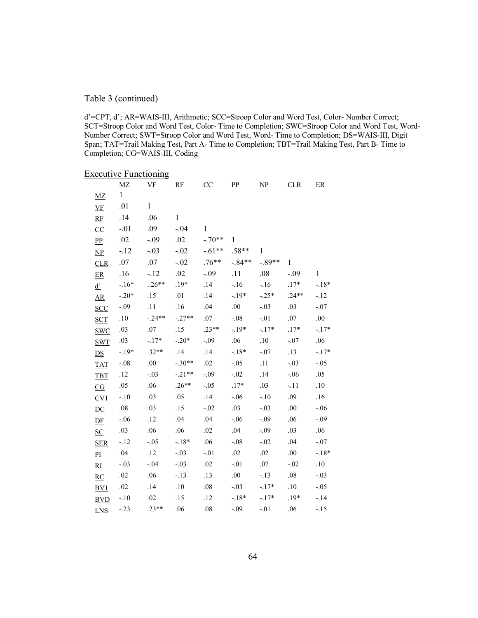#### Table 3 (continued)

d'=CPT, d'; AR=WAIS-III, Arithmetic; SCC=Stroop Color and Word Test, Color- Number Correct; SCT=Stroop Color and Word Test, Color- Time to Completion; SWC=Stroop Color and Word Test, Word-Number Correct; SWT=Stroop Color and Word Test, Word- Time to Completion; DS=WAIS-III, Digit Span; TAT=Trail Making Test, Part A- Time to Completion; TBT=Trail Making Test, Part B- Time to Completion; CG=WAIS-III, Coding

| <b>Executive Functioning</b> |              |              |              |                  |                |               |              |              |
|------------------------------|--------------|--------------|--------------|------------------|----------------|---------------|--------------|--------------|
|                              | MZ           | $VF$         | RE           | $\underline{CC}$ | $_{\text{PP}}$ | $\mathbf{NP}$ | CLR          | $E$ R        |
| MZ                           | $\mathbf{1}$ |              |              |                  |                |               |              |              |
| VF                           | .01          | $\mathbf{1}$ |              |                  |                |               |              |              |
| RE                           | .14          | .06          | $\mathbf{1}$ |                  |                |               |              |              |
| CC                           | $-.01$       | .09          | $-.04$       | $\mathbf{1}$     |                |               |              |              |
| $_{\text{PP}}$               | .02          | $-.09$       | .02          | $-.70**$         | 1              |               |              |              |
| NP                           | $-12$        | $-.03$       | $-.02$       | $-.61**$         | $.58**$        | $\mathbf{1}$  |              |              |
| CLR                          | .07          | .07          | $-.02$       | $.76**$          | $-.84**$       | $-.89**$      | $\mathbf{1}$ |              |
| $E$ R                        | .16          | $-.12$       | .02          | $-.09$           | .11            | .08           | $-.09$       | $\mathbf{1}$ |
| $\underline{d}$              | $-.16*$      | $.26**$      | $.19*$       | .14              | $-16$          | $-16$         | $.17*$       | $-.18*$      |
| $\Delta R$                   | $-.20*$      | .15          | .01          | .14              | $-.19*$        | $-.25*$       | $.24**$      | $-12$        |
| $SCC$                        | $-.09$       | .11          | .16          | .04              | .00.           | $-.03$        | .03          | $-.07$       |
| <b>SCT</b>                   | $.10\,$      | $-.24**$     | $-.27**$     | .07              | $-0.08$        | $-.01$        | .07          | .00.         |
| <b>SWC</b>                   | .03          | $.07$        | .15          | $.23**$          | $-.19*$        | $-.17*$       | $.17*$       | $-.17*$      |
| <b>SWT</b>                   | .03          | $-.17*$      | $-.20*$      | $-.09$           | .06            | .10           | $-.07$       | .06          |
| DS                           | $-.19*$      | $.32**$      | .14          | .14              | $-.18*$        | $-.07$        | .13          | $-.17*$      |
| <b>TAT</b>                   | $-.08$       | $.00\,$      | $-.30**$     | .02              | $-.05$         | .11           | $-.03$       | $-.05$       |
| <b>TBT</b>                   | .12          | $-.03$       | $-.21**$     | $-.09$           | $-.02$         | .14           | $-.06$       | .05          |
| $\underline{\text{CG}}$      | .05          | .06          | $.26**$      | $-.05$           | $.17*$         | .03           | $-.11$       | .10          |
| $\underline{\text{CV}}$      | $-.10$       | .03          | .05          | .14              | $-.06$         | $-.10$        | .09          | .16          |
| $\underline{DC}$             | $.08\,$      | .03          | .15          | $-.02$           | .03            | $-.03$        | .00          | $-.06$       |
| $D_{F}$                      | $-.06$       | .12          | .04          | .04              | $-.06$         | $-.09$        | .06          | $-.09$       |
| $SC$                         | .03          | .06          | .06          | .02              | .04            | $-.09$        | .03          | .06          |
| <b>SER</b>                   | $-.12$       | $-.05$       | $-.18*$      | .06              | $-.08$         | $-.02$        | .04          | $-.07$       |
| $\mathbf{p}_{\mathbf{I}}$    | .04          | .12          | $-.03$       | $-.01$           | $.02\,$        | $.02\,$       | .00.         | $-.18*$      |
| $_{\rm{RI}}$                 | $-.03$       | $-.04$       | $-.03$       | .02              | $-.01$         | .07           | $-.02$       | .10          |
| RC                           | .02          | .06          | $-.13$       | .13              | .00.           | $-.13$        | .08          | $-.03$       |
| BVI                          | $.02\,$      | .14          | .10          | .08              | $-.03$         | $-.17*$       | .10          | $-.05$       |
| <b>BVD</b>                   | $-.10$       | .02          | .15          | .12              | $-.18*$        | $-.17*$       | $.19*$       | $-.14$       |
| LNS                          | $-.23$       | $.23**$      | .06          | $.08\,$          | $-.09$         | $-.01$        | .06          | $-.15$       |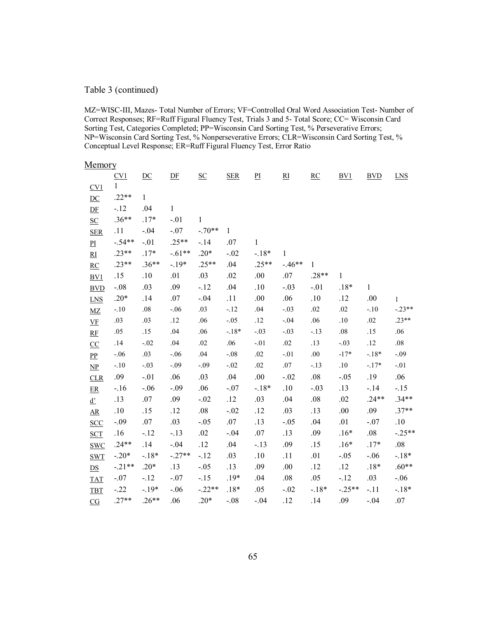#### Table 3 (continued)

MZ=WISC-III, Mazes- Total Number of Errors; VF=Controlled Oral Word Association Test- Number of Correct Responses; RF=Ruff Figural Fluency Test, Trials 3 and 5- Total Score; CC= Wisconsin Card Sorting Test, Categories Completed; PP=Wisconsin Card Sorting Test, % Perseverative Errors; NP=Wisconsin Card Sorting Test, % Nonperseverative Errors; CLR=Wisconsin Card Sorting Test, % Conceptual Level Response; ER=Ruff Figural Fluency Test, Error Ratio

| Memory                    |              |                  |              |                           |              |                           |                          |                  |              |              |              |
|---------------------------|--------------|------------------|--------------|---------------------------|--------------|---------------------------|--------------------------|------------------|--------------|--------------|--------------|
|                           | CV1          | $\underline{DC}$ | DE           | $\underline{\mathbf{SC}}$ | <b>SER</b>   | $\underline{\mathbf{PI}}$ | $\underline{\mathbf{R}}$ | $\underline{RC}$ | BVI          | <b>BVD</b>   | <b>LNS</b>   |
| CV1                       | $\mathbf{1}$ |                  |              |                           |              |                           |                          |                  |              |              |              |
| $\underline{DC}$          | $.22**$      | $\mathbf{1}$     |              |                           |              |                           |                          |                  |              |              |              |
| DF                        | $-.12$       | .04              | $\mathbf{1}$ |                           |              |                           |                          |                  |              |              |              |
| <b>SC</b>                 | $.36**$      | $.17*$           | $-.01$       | $\mathbf{1}$              |              |                           |                          |                  |              |              |              |
| <b>SER</b>                | .11          | $-.04$           | $-.07$       | $-.70**$                  | $\mathbf{1}$ |                           |                          |                  |              |              |              |
| $\underline{PI}$          | $-.54**$     | $-.01$           | $.25**$      | $-14$                     | .07          | $\mathbf{1}$              |                          |                  |              |              |              |
| $R_{\text{I}}$            | $.23**$      | $.17*$           | $-.61**$     | $.20*$                    | $-.02$       | $-.18*$                   | $\mathbf{1}$             |                  |              |              |              |
| $\underline{RC}$          | $.23**$      | $.36**$          | $-.19*$      | $.25**$                   | .04          | $.25**$                   | $-.46**$                 | $\mathbf{1}$     |              |              |              |
| BV1                       | .15          | .10              | .01          | .03                       | .02          | .00                       | .07                      | $.28**$          | $\mathbf{1}$ |              |              |
| <b>BVD</b>                | $-.08$       | .03              | .09          | $-12$                     | .04          | $.10\,$                   | $-.03$                   | $-.01$           | $.18*$       | $\mathbf{1}$ |              |
| <b>LNS</b>                | $.20*$       | .14              | .07          | $-.04$                    | .11          | .00                       | .06                      | .10              | .12          | .00          | $\mathbf{1}$ |
| MZ                        | $-.10$       | $.08\,$          | $-.06$       | .03                       | $-.12$       | $.04\,$                   | $-.03$                   | .02              | .02          | $-.10$       | $-.23**$     |
| VF                        | $.03\,$      | .03              | .12          | $.06$                     | $-.05$       | .12                       | $-.04$                   | $.06$            | $.10\,$      | $.02\,$      | $.23**$      |
| RE                        | .05          | .15              | .04          | .06                       | $-.18*$      | $-.03$                    | $-.03$                   | $-.13$           | $.08\,$      | .15          | .06          |
| CC                        | .14          | $-.02$           | .04          | $.02\,$                   | .06          | $-.01$                    | .02                      | .13              | $-.03$       | .12          | $.08\,$      |
| $\underline{PP}$          | $-.06$       | .03              | $-.06$       | .04                       | $-.08$       | $.02\,$                   | $-.01$                   | $.00\,$          | $-17*$       | $-.18*$      | $-.09$       |
| $\overline{\text{MP}}$    | $-.10$       | $-.03$           | $-.09$       | $-.09$                    | $-.02$       | .02                       | .07                      | $-13$            | .10          | $-.17*$      | $-.01$       |
| CLR                       | .09          | $-.01$           | .06          | .03                       | .04          | $.00\,$                   | $-.02$                   | $.08\,$          | $-.05$       | .19          | .06          |
| ER                        | $-16$        | $-.06$           | $-.09$       | .06                       | $-.07$       | $-18*$                    | .10                      | $-.03$           | .13          | $-.14$       | $-15$        |
| $\underline{d}$           | .13          | .07              | .09          | $-.02$                    | .12          | .03                       | .04                      | $.08\,$          | .02          | $.24**$      | $.34**$      |
| $\underline{\mathbf{AR}}$ | $.10\,$      | .15              | .12          | $.08\,$                   | $-.02$       | .12                       | .03                      | .13              | .00          | .09          | $.37**$      |
| <b>SCC</b>                | $-.09$       | .07              | .03          | $-.05$                    | .07          | .13                       | $-.05$                   | .04              | .01          | $-.07$       | $.10\,$      |
| <b>SCT</b>                | .16          | $-.12$           | $-.13$       | .02                       | $-.04$       | .07                       | .13                      | .09              | $.16*$       | .08          | $-.25**$     |
| <b>SWC</b>                | $.24**$      | .14              | $-.04$       | .12                       | .04          | $-.13$                    | .09                      | .15              | $.16*$       | $.17*$       | $.08\,$      |
| <b>SWT</b>                | $-.20*$      | $-.18*$          | $-.27**$     | $-.12$                    | .03          | $.10\,$                   | .11                      | .01              | $-.05$       | $-.06$       | $-.18*$      |
| $\overline{\text{DS}}$    | $-.21**$     | $.20*$           | .13          | $-.05$                    | .13          | .09                       | .00.                     | .12              | .12          | $.18*$       | $.60**$      |
| <b>TAT</b>                | $-.07$       | $-.12$           | $-.07$       | $-15$                     | $.19*$       | .04                       | $.08\,$                  | .05              | $-.12$       | .03          | $-.06$       |
| <b>TBT</b>                | $-.22$       | $-.19*$          | $-.06$       | $-.22**$                  | $.18*$       | .05                       | $-.02$                   | $-.18*$          | $-.25**$     | $-.11$       | $-.18*$      |
| CG                        | $.27**$      | $.26**$          | .06          | $.20*$                    | $-.08$       | $-.04$                    | .12                      | .14              | .09          | $-.04$       | .07          |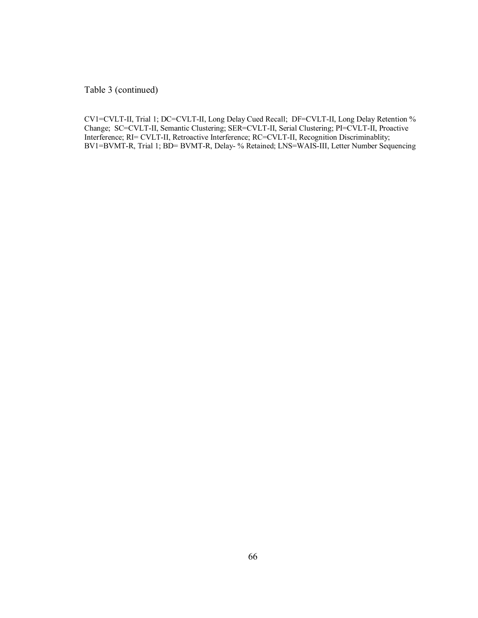Table 3 (continued)

CV1=CVLT-II, Trial 1; DC=CVLT-II, Long Delay Cued Recall; DF=CVLT-II, Long Delay Retention % Change; SC=CVLT-II, Semantic Clustering; SER=CVLT-II, Serial Clustering; PI=CVLT-II, Proactive Interference; RI= CVLT-II, Retroactive Interference; RC=CVLT-II, Recognition Discriminablity; BV1=BVMT-R, Trial 1; BD= BVMT-R, Delay- % Retained; LNS=WAIS-III, Letter Number Sequencing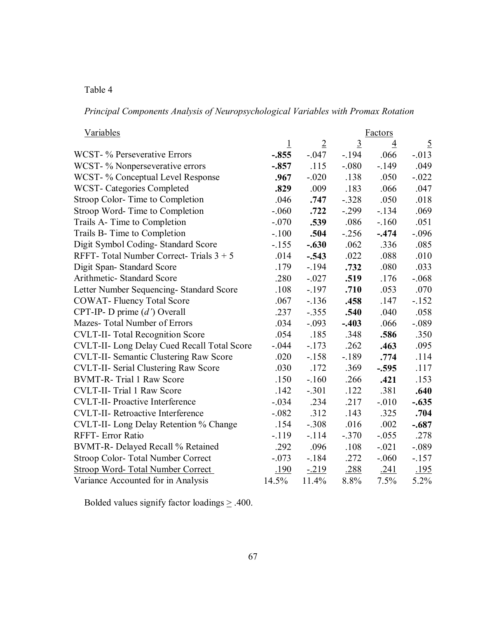## Table 4

*Principal Components Analysis of Neuropsychological Variables with Promax Rotation* 

| <b>Variables</b>                                   |                         |                |                | <b>Factors</b> |                |
|----------------------------------------------------|-------------------------|----------------|----------------|----------------|----------------|
|                                                    | $\overline{\mathbf{1}}$ | $\overline{2}$ | $\overline{3}$ | $\overline{4}$ | $\overline{2}$ |
| WCST- % Perseverative Errors                       | $-.855$                 | $-.047$        | $-194$         | .066           | $-0.013$       |
| WCST-% Nonperseverative errors                     | $-.857$                 | .115           | $-.080$        | $-149$         | .049           |
| WCST-% Conceptual Level Response                   | .967                    | $-.020$        | .138           | .050           | $-.022$        |
| WCST- Categories Completed                         | .829                    | .009           | .183           | .066           | .047           |
| Stroop Color-Time to Completion                    | .046                    | .747           | $-.328$        | .050           | .018           |
| Stroop Word-Time to Completion                     | $-.060$                 | .722           | $-.299$        | $-134$         | .069           |
| Trails A- Time to Completion                       | $-.070$                 | .539           | .086           | $-160$         | .051           |
| Trails B- Time to Completion                       | $-.100$                 | .504           | $-0.256$       | $-.474$        | $-.096$        |
| Digit Symbol Coding-Standard Score                 | $-155$                  | $-.630$        | .062           | .336           | .085           |
| RFFT-Total Number Correct-Trials $3 + 5$           | .014                    | $-.543$        | .022           | .088           | .010           |
| Digit Span-Standard Score                          | .179                    | $-.194$        | .732           | .080           | .033           |
| Arithmetic - Standard Score                        | .280                    | $-.027$        | .519           | .176           | $-.068$        |
| Letter Number Sequencing-Standard Score            | .108                    | $-.197$        | .710           | .053           | .070           |
| <b>COWAT</b> -Fluency Total Score                  | .067                    | $-136$         | .458           | .147           | $-152$         |
| CPT-IP- D prime $(d')$ Overall                     | .237                    | $-.355$        | .540           | .040           | .058           |
| Mazes-Total Number of Errors                       | .034                    | $-.093$        | $-.403$        | .066           | $-.089$        |
| <b>CVLT-II- Total Recognition Score</b>            | .054                    | .185           | .348           | .586           | .350           |
| <b>CVLT-II- Long Delay Cued Recall Total Score</b> | $-.044$                 | $-173$         | .262           | .463           | .095           |
| <b>CVLT-II- Semantic Clustering Raw Score</b>      | .020                    | $-.158$        | $-189$         | .774           | .114           |
| <b>CVLT-II- Serial Clustering Raw Score</b>        | .030                    | .172           | .369           | $-.595$        | .117           |
| <b>BVMT-R-Trial 1 Raw Score</b>                    | .150                    | $-.160$        | .266           | .421           | .153           |
| <b>CVLT-II-Trial 1 Raw Score</b>                   | .142                    | $-.301$        | .122           | .381           | .640           |
| <b>CVLT-II- Proactive Interference</b>             | $-.034$                 | .234           | .217           | $-.010$        | $-.635$        |
| <b>CVLT-II-</b> Retroactive Interference           | $-.082$                 | .312           | .143           | .325           | .704           |
| CVLT-II- Long Delay Retention % Change             | .154                    | $-.308$        | .016           | .002           | $-.687$        |
| RFFT- Error Ratio                                  | $-119$                  | $-.114$        | $-.370$        | $-.055$        | .278           |
| BVMT-R- Delayed Recall % Retained                  | .292                    | .096           | .108           | $-.021$        | $-.089$        |
| Stroop Color-Total Number Correct                  | $-.073$                 | $-184$         | .272           | $-.060$        | $-157$         |
| <b>Stroop Word- Total Number Correct</b>           | .190                    | $-219$         | .288           | .241           | <u>.195</u>    |
| Variance Accounted for in Analysis                 | 14.5%                   | 11.4%          | 8.8%           | 7.5%           | 5.2%           |

Bolded values signify factor loadings  $\geq$  .400.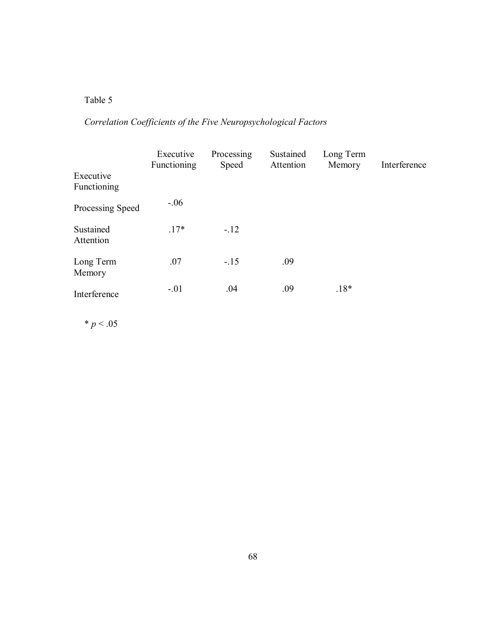# Table 5

# *Correlation Coefficients of the Five Neuropsychological Factors*

|                          | Executive<br>Functioning | Processing<br>Speed | Sustained<br>Attention | Long Term<br>Memory | Interference |
|--------------------------|--------------------------|---------------------|------------------------|---------------------|--------------|
| Executive<br>Functioning |                          |                     |                        |                     |              |
| Processing Speed         | $-.06$                   |                     |                        |                     |              |
| Sustained<br>Attention   | $.17*$                   | $-.12$              |                        |                     |              |
| Long Term<br>Memory      | .07                      | $-15$               | .09                    |                     |              |
| Interference             | $-.01$                   | .04                 | .09                    | $.18*$              |              |

 $* p < .05$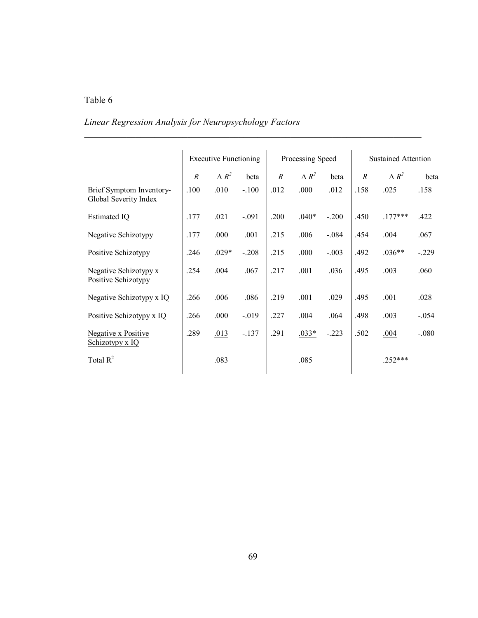# Table 6

## *Linear Regression Analysis for Neuropsychology Factors*

|                                                   | <b>Executive Functioning</b> |              |         | Processing Speed |              |         | <b>Sustained Attention</b> |              |         |
|---------------------------------------------------|------------------------------|--------------|---------|------------------|--------------|---------|----------------------------|--------------|---------|
|                                                   | $\boldsymbol{R}$             | $\Delta R^2$ | beta    | $\boldsymbol{R}$ | $\Delta R^2$ | beta    | $\boldsymbol{R}$           | $\Delta R^2$ | beta    |
| Brief Symptom Inventory-<br>Global Severity Index | .100                         | .010         | $-.100$ | .012             | .000         | .012    | .158                       | .025         | .158    |
| <b>Estimated IQ</b>                               | .177                         | .021         | $-.091$ | .200             | $.040*$      | $-.200$ | .450                       | $.177***$    | .422    |
| Negative Schizotypy                               | .177                         | .000         | .001    | .215             | .006         | $-.084$ | .454                       | .004         | .067    |
| Positive Schizotypy                               | .246                         | $.029*$      | $-.208$ | .215             | .000         | $-.003$ | .492                       | $.036**$     | $-.229$ |
| Negative Schizotypy x<br>Positive Schizotypy      | .254                         | .004         | .067    | .217             | .001         | .036    | .495                       | .003         | .060    |
| Negative Schizotypy x IQ                          | .266                         | .006         | .086    | .219             | .001         | .029    | .495                       | .001         | .028    |
| Positive Schizotypy x IQ                          | .266                         | .000         | $-.019$ | .227             | .004         | .064    | .498                       | .003         | $-.054$ |
| Negative x Positive<br>Schizotypy x IQ            | .289                         | .013         | $-.137$ | .291             | $.033*$      | $-.223$ | .502                       | .004         | $-080$  |
| Total $R^2$                                       |                              | .083         |         |                  | .085         |         |                            | $.252***$    |         |

 $\_$  , and the contribution of the contribution of  $\mathcal{L}_\mathcal{A}$  , and the contribution of  $\mathcal{L}_\mathcal{A}$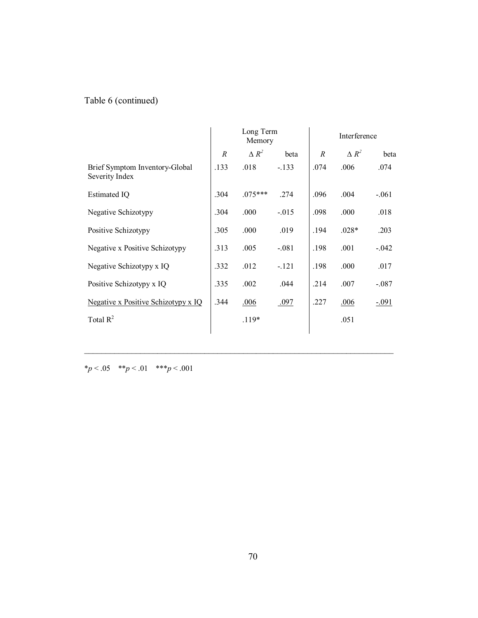# Table 6 (continued)

|                                                  |                  | Long Term<br>Memory |         | Interference   |              |          |  |
|--------------------------------------------------|------------------|---------------------|---------|----------------|--------------|----------|--|
|                                                  | $\boldsymbol{R}$ | $\Delta R^2$        | beta    | $\overline{R}$ | $\Delta R^2$ | beta     |  |
| Brief Symptom Inventory-Global<br>Severity Index | .133             | .018                | $-.133$ | .074           | .006         | .074     |  |
| Estimated IQ                                     | .304             | $.075***$           | .274    | .096           | .004         | $-.061$  |  |
| Negative Schizotypy                              | .304             | .000                | $-.015$ | .098           | .000         | .018     |  |
| Positive Schizotypy                              | .305             | .000                | .019    | .194           | $.028*$      | .203     |  |
| Negative x Positive Schizotypy                   | .313             | .005                | $-.081$ | .198           | .001         | $-.042$  |  |
| Negative Schizotypy x IQ                         | .332             | .012                | $-.121$ | .198           | .000         | .017     |  |
| Positive Schizotypy x IQ                         | .335             | .002                | .044    | .214           | .007         | $-.087$  |  |
| Negative x Positive Schizotypy x IQ              | .344             | .006                | .097    | .227           | .006         | $-0.091$ |  |
| Total $R^2$                                      |                  | $.119*$             |         |                | .051         |          |  |
|                                                  |                  |                     |         |                |              |          |  |

\**p* < .05 \*\**p* < .01 \*\*\**p* < .001